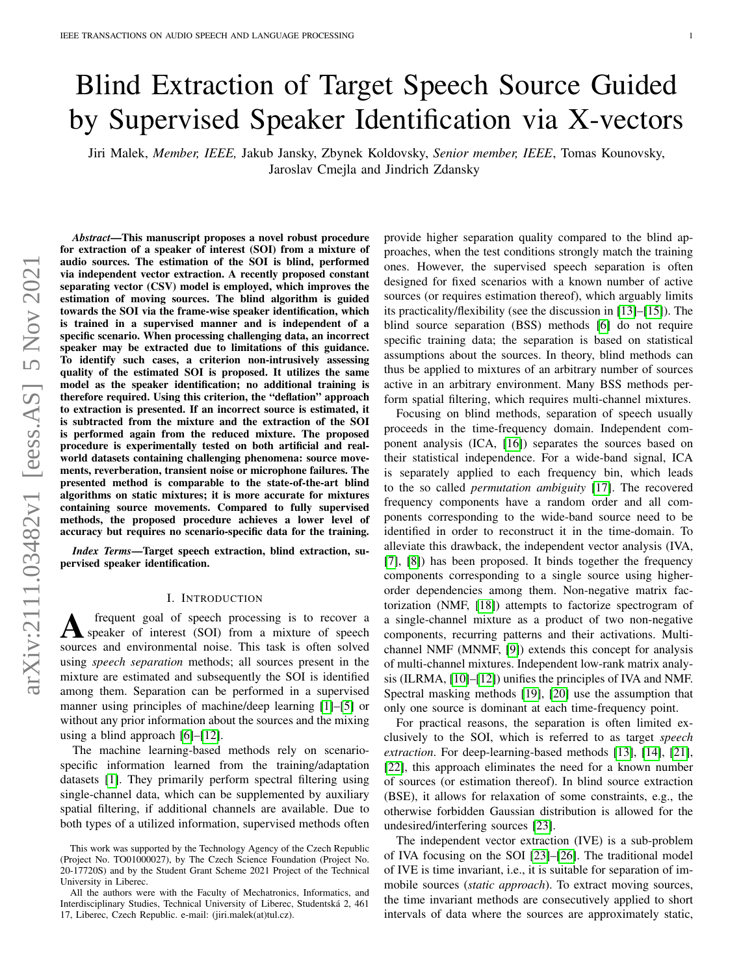# Blind Extraction of Target Speech Source Guided by Supervised Speaker Identification via X-vectors

Jiri Malek, *Member, IEEE,* Jakub Jansky, Zbynek Koldovsky, *Senior member, IEEE*, Tomas Kounovsky, Jaroslav Cmejla and Jindrich Zdansky

*Abstract*—This manuscript proposes a novel robust procedure for extraction of a speaker of interest (SOI) from a mixture of audio sources. The estimation of the SOI is blind, performed via independent vector extraction. A recently proposed constant separating vector (CSV) model is employed, which improves the estimation of moving sources. The blind algorithm is guided towards the SOI via the frame-wise speaker identification, which is trained in a supervised manner and is independent of a specific scenario. When processing challenging data, an incorrect speaker may be extracted due to limitations of this guidance. To identify such cases, a criterion non-intrusively assessing quality of the estimated SOI is proposed. It utilizes the same model as the speaker identification; no additional training is therefore required. Using this criterion, the "deflation" approach to extraction is presented. If an incorrect source is estimated, it is subtracted from the mixture and the extraction of the SOI is performed again from the reduced mixture. The proposed procedure is experimentally tested on both artificial and realworld datasets containing challenging phenomena: source movements, reverberation, transient noise or microphone failures. The presented method is comparable to the state-of-the-art blind algorithms on static mixtures; it is more accurate for mixtures containing source movements. Compared to fully supervised methods, the proposed procedure achieves a lower level of accuracy but requires no scenario-specific data for the training.

*Index Terms*—Target speech extraction, blind extraction, supervised speaker identification.

#### I. INTRODUCTION

A frequent goal of speech processing is to recover a<br>speaker of interest (SOI) from a mixture of speech frequent goal of speech processing is to recover a sources and environmental noise. This task is often solved using *speech separation* methods; all sources present in the mixture are estimated and subsequently the SOI is identified among them. Separation can be performed in a supervised manner using principles of machine/deep learning [\[1\]](#page-10-0)–[\[5\]](#page-10-1) or without any prior information about the sources and the mixing using a blind approach [\[6\]](#page-10-2)–[\[12\]](#page-10-3).

The machine learning-based methods rely on scenariospecific information learned from the training/adaptation datasets [\[1\]](#page-10-0). They primarily perform spectral filtering using single-channel data, which can be supplemented by auxiliary spatial filtering, if additional channels are available. Due to both types of a utilized information, supervised methods often provide higher separation quality compared to the blind approaches, when the test conditions strongly match the training ones. However, the supervised speech separation is often designed for fixed scenarios with a known number of active sources (or requires estimation thereof), which arguably limits its practicality/flexibility (see the discussion in [\[13\]](#page-10-4)–[\[15\]](#page-10-5)). The blind source separation (BSS) methods [\[6\]](#page-10-2) do not require specific training data; the separation is based on statistical assumptions about the sources. In theory, blind methods can thus be applied to mixtures of an arbitrary number of sources active in an arbitrary environment. Many BSS methods perform spatial filtering, which requires multi-channel mixtures.

Focusing on blind methods, separation of speech usually proceeds in the time-frequency domain. Independent component analysis (ICA, [\[16\]](#page-10-6)) separates the sources based on their statistical independence. For a wide-band signal, ICA is separately applied to each frequency bin, which leads to the so called *permutation ambiguity* [\[17\]](#page-11-0). The recovered frequency components have a random order and all components corresponding to the wide-band source need to be identified in order to reconstruct it in the time-domain. To alleviate this drawback, the independent vector analysis (IVA, [\[7\]](#page-10-7), [\[8\]](#page-10-8)) has been proposed. It binds together the frequency components corresponding to a single source using higherorder dependencies among them. Non-negative matrix factorization (NMF, [\[18\]](#page-11-1)) attempts to factorize spectrogram of a single-channel mixture as a product of two non-negative components, recurring patterns and their activations. Multichannel NMF (MNMF, [\[9\]](#page-10-9)) extends this concept for analysis of multi-channel mixtures. Independent low-rank matrix analysis (ILRMA, [\[10\]](#page-10-10)–[\[12\]](#page-10-3)) unifies the principles of IVA and NMF. Spectral masking methods [\[19\]](#page-11-2), [\[20\]](#page-11-3) use the assumption that only one source is dominant at each time-frequency point.

For practical reasons, the separation is often limited exclusively to the SOI, which is referred to as target *speech extraction*. For deep-learning-based methods [\[13\]](#page-10-4), [\[14\]](#page-10-11), [\[21\]](#page-11-4), [\[22\]](#page-11-5), this approach eliminates the need for a known number of sources (or estimation thereof). In blind source extraction (BSE), it allows for relaxation of some constraints, e.g., the otherwise forbidden Gaussian distribution is allowed for the undesired/interfering sources [\[23\]](#page-11-6).

The independent vector extraction (IVE) is a sub-problem of IVA focusing on the SOI [\[23\]](#page-11-6)–[\[26\]](#page-11-7). The traditional model of IVE is time invariant, i.e., it is suitable for separation of immobile sources (*static approach*). To extract moving sources, the time invariant methods are consecutively applied to short intervals of data where the sources are approximately static,

This work was supported by the Technology Agency of the Czech Republic (Project No. TO01000027), by The Czech Science Foundation (Project No. 20-17720S) and by the Student Grant Scheme 2021 Project of the Technical University in Liberec.

All the authors were with the Faculty of Mechatronics, Informatics, and Interdisciplinary Studies, Technical University of Liberec, Studentská 2, 461 17, Liberec, Czech Republic. e-mail: (jiri.malek(at)tul.cz).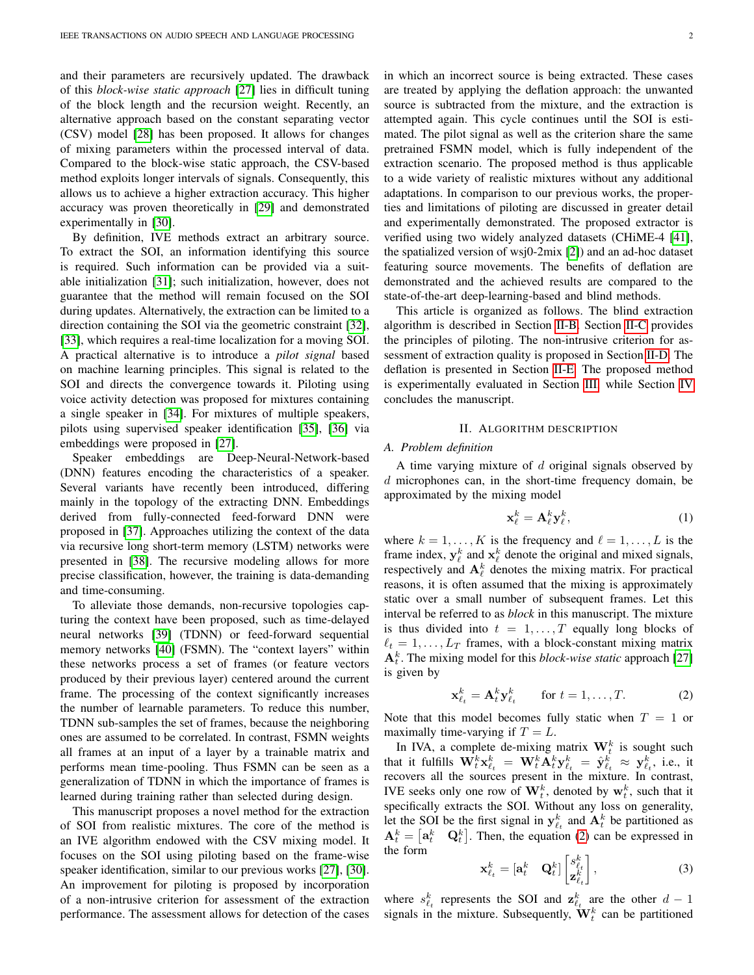and their parameters are recursively updated. The drawback of this *block-wise static approach* [\[27\]](#page-11-8) lies in difficult tuning of the block length and the recursion weight. Recently, an alternative approach based on the constant separating vector (CSV) model [\[28\]](#page-11-9) has been proposed. It allows for changes of mixing parameters within the processed interval of data. Compared to the block-wise static approach, the CSV-based method exploits longer intervals of signals. Consequently, this allows us to achieve a higher extraction accuracy. This higher accuracy was proven theoretically in [\[29\]](#page-11-10) and demonstrated experimentally in [\[30\]](#page-11-11).

By definition, IVE methods extract an arbitrary source. To extract the SOI, an information identifying this source is required. Such information can be provided via a suitable initialization [\[31\]](#page-11-12); such initialization, however, does not guarantee that the method will remain focused on the SOI during updates. Alternatively, the extraction can be limited to a direction containing the SOI via the geometric constraint [\[32\]](#page-11-13), [\[33\]](#page-11-14), which requires a real-time localization for a moving SOI. A practical alternative is to introduce a *pilot signal* based on machine learning principles. This signal is related to the SOI and directs the convergence towards it. Piloting using voice activity detection was proposed for mixtures containing a single speaker in [\[34\]](#page-11-15). For mixtures of multiple speakers, pilots using supervised speaker identification [\[35\]](#page-11-16), [\[36\]](#page-11-17) via embeddings were proposed in [\[27\]](#page-11-8).

Speaker embeddings are Deep-Neural-Network-based (DNN) features encoding the characteristics of a speaker. Several variants have recently been introduced, differing mainly in the topology of the extracting DNN. Embeddings derived from fully-connected feed-forward DNN were proposed in [\[37\]](#page-11-18). Approaches utilizing the context of the data via recursive long short-term memory (LSTM) networks were presented in [\[38\]](#page-11-19). The recursive modeling allows for more precise classification, however, the training is data-demanding and time-consuming.

To alleviate those demands, non-recursive topologies capturing the context have been proposed, such as time-delayed neural networks [\[39\]](#page-11-20) (TDNN) or feed-forward sequential memory networks [\[40\]](#page-11-21) (FSMN). The "context layers" within these networks process a set of frames (or feature vectors produced by their previous layer) centered around the current frame. The processing of the context significantly increases the number of learnable parameters. To reduce this number, TDNN sub-samples the set of frames, because the neighboring ones are assumed to be correlated. In contrast, FSMN weights all frames at an input of a layer by a trainable matrix and performs mean time-pooling. Thus FSMN can be seen as a generalization of TDNN in which the importance of frames is learned during training rather than selected during design.

This manuscript proposes a novel method for the extraction of SOI from realistic mixtures. The core of the method is an IVE algorithm endowed with the CSV mixing model. It focuses on the SOI using piloting based on the frame-wise speaker identification, similar to our previous works [\[27\]](#page-11-8), [\[30\]](#page-11-11). An improvement for piloting is proposed by incorporation of a non-intrusive criterion for assessment of the extraction performance. The assessment allows for detection of the cases in which an incorrect source is being extracted. These cases are treated by applying the deflation approach: the unwanted source is subtracted from the mixture, and the extraction is attempted again. This cycle continues until the SOI is estimated. The pilot signal as well as the criterion share the same pretrained FSMN model, which is fully independent of the extraction scenario. The proposed method is thus applicable to a wide variety of realistic mixtures without any additional adaptations. In comparison to our previous works, the properties and limitations of piloting are discussed in greater detail and experimentally demonstrated. The proposed extractor is verified using two widely analyzed datasets (CHiME-4 [\[41\]](#page-11-22), the spatialized version of wsj0-2mix [\[2\]](#page-10-12)) and an ad-hoc dataset featuring source movements. The benefits of deflation are demonstrated and the achieved results are compared to the state-of-the-art deep-learning-based and blind methods.

This article is organized as follows. The blind extraction algorithm is described in Section [II-B.](#page-2-0) Section [II-C](#page-2-1) provides the principles of piloting. The non-intrusive criterion for assessment of extraction quality is proposed in Section [II-D.](#page-4-0) The deflation is presented in Section [II-E.](#page-4-1) The proposed method is experimentally evaluated in Section [III,](#page-5-0) while Section [IV](#page-10-13) concludes the manuscript.

#### II. ALGORITHM DESCRIPTION

# *A. Problem definition*

A time varying mixture of  $d$  original signals observed by  $d$  microphones can, in the short-time frequency domain, be approximated by the mixing model

$$
\mathbf{x}_{\ell}^{k} = \mathbf{A}_{\ell}^{k} \mathbf{y}_{\ell}^{k},\tag{1}
$$

where  $k = 1, \ldots, K$  is the frequency and  $\ell = 1, \ldots, L$  is the frame index,  $y_\ell^k$  and  $x_\ell^k$  denote the original and mixed signals, respectively and  $A_{\ell}^{k}$  denotes the mixing matrix. For practical reasons, it is often assumed that the mixing is approximately static over a small number of subsequent frames. Let this interval be referred to as *block* in this manuscript. The mixture is thus divided into  $t = 1, \ldots, T$  equally long blocks of  $\ell_t = 1, \dots, L_T$  frames, with a block-constant mixing matrix  $A_t^k$ . The mixing model for this *block-wise static* approach [\[27\]](#page-11-8) is given by

<span id="page-1-0"></span>
$$
\mathbf{x}_{\ell_t}^k = \mathbf{A}_t^k \mathbf{y}_{\ell_t}^k \qquad \text{for } t = 1, \dots, T. \tag{2}
$$

Note that this model becomes fully static when  $T = 1$  or maximally time-varying if  $T = L$ .

In IVA, a complete de-mixing matrix  $W_t^k$  is sought such that it fulfills  $\mathbf{W}_t^k \mathbf{x}_{\ell_t}^k \ = \ \mathbf{W}_t^k \mathbf{A}_t^k \mathbf{y}_{\ell_t}^k \ = \ \hat{\mathbf{y}}_{\ell_t}^k \ \approx \ \mathbf{y}_{\ell_t}^k, \ \text{i.e.,} \ \text{it}$ recovers all the sources present in the mixture. In contrast, IVE seeks only one row of  $\mathbf{W}_t^k$ , denoted by  $\mathbf{w}_t^k$ , such that it specifically extracts the SOI. Without any loss on generality, let the SOI be the first signal in  $y_{\ell_t}^k$  and  $A_t^k$  be partitioned as  $A_t^k = \begin{bmatrix} a_t^k & Q_t^k \end{bmatrix}$ . Then, the equation [\(2\)](#page-1-0) can be expressed in the form

$$
\mathbf{x}_{\ell_t}^k = \begin{bmatrix} \mathbf{a}_t^k & \mathbf{Q}_t^k \end{bmatrix} \begin{bmatrix} s_{\ell_t}^k \\ \mathbf{z}_{\ell_t}^k \end{bmatrix},\tag{3}
$$

where  $s_{\ell_t}^k$  represents the SOI and  $\mathbf{z}_{\ell_t}^k$  are the other  $d-1$ signals in the mixture. Subsequently,  $\mathbf{W}_t^k$  can be partitioned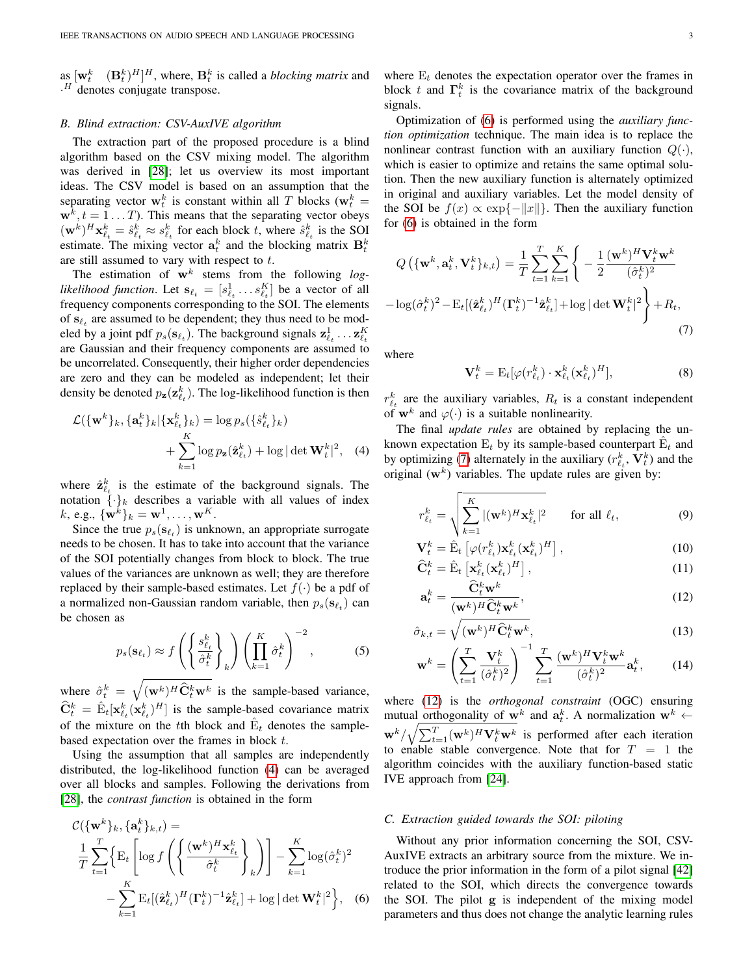as  $[\mathbf{w}_t^k \quad (\mathbf{B}_t^k)^H]^H$ , where,  $\mathbf{B}_t^k$  is called a *blocking matrix* and  $\cdot$ <sup>H</sup> denotes conjugate transpose.

## <span id="page-2-0"></span>*B. Blind extraction: CSV-AuxIVE algorithm*

The extraction part of the proposed procedure is a blind algorithm based on the CSV mixing model. The algorithm was derived in [\[28\]](#page-11-9); let us overview its most important ideas. The CSV model is based on an assumption that the separating vector  $\mathbf{w}_t^k$  is constant within all T blocks ( $\mathbf{w}_t^k =$  $\mathbf{w}^k$ ,  $t = 1 \dots T$ ). This means that the separating vector obeys  $(\mathbf{w}^k)^H \mathbf{x}_{\ell_t}^k = \hat{s}_{\ell_t}^k \approx s_{\ell_t}^k$  for each block t, where  $\hat{s}_{\ell_t}^k$  is the SOI estimate. The mixing vector  $a_t^k$  and the blocking matrix  $B_t^k$ are still assumed to vary with respect to  $t$ .

The estimation of  $w^k$  stems from the following  $log$ *likelihood function*. Let  $\mathbf{s}_{\ell_t} = [s_{\ell_t}^1 \dots s_{\ell_t}^K]$  be a vector of all frequency components corresponding to the SOI. The elements of  $s_{\ell_t}$  are assumed to be dependent; they thus need to be modeled by a joint pdf  $p_s(\mathbf{s}_{\ell_t})$ . The background signals  $\mathbf{z}_{\ell_t}^1 \dots \mathbf{z}_{\ell_t}^K$ are Gaussian and their frequency components are assumed to be uncorrelated. Consequently, their higher order dependencies are zero and they can be modeled as independent; let their density be denoted  $p_{\mathbf{z}}(\mathbf{z}_{\ell_t}^k)$ . The log-likelihood function is then

$$
\mathcal{L}(\{\mathbf{w}^k\}_k, \{\mathbf{a}_t^k\}_k | \{\mathbf{x}_{\ell_t}^k\}_k) = \log p_s(\{\hat{s}_{\ell_t}^k\}_k) + \sum_{k=1}^K \log p_{\mathbf{z}}(\hat{\mathbf{z}}_{\ell_t}^k) + \log |\det \mathbf{W}_t^k|^2, \quad (4)
$$

where  $\hat{\mathbf{z}}_{\ell_t}^k$  is the estimate of the background signals. The notation  $\{\cdot\}_k$  describes a variable with all values of index  $k, e.g., \{\mathbf{w}^k\}_k = \mathbf{w}^1, \dots, \mathbf{w}^K.$ 

Since the true  $p_s(\mathbf{s}_{\ell_t})$  is unknown, an appropriate surrogate needs to be chosen. It has to take into account that the variance of the SOI potentially changes from block to block. The true values of the variances are unknown as well; they are therefore replaced by their sample-based estimates. Let  $f(\cdot)$  be a pdf of a normalized non-Gaussian random variable, then  $p_s(\mathbf{s}_{\ell_t})$  can be chosen as

$$
p_s(\mathbf{s}_{\ell_t}) \approx f\left(\left\{\frac{s_{\ell_t}^k}{\hat{\sigma}_t^k}\right\}_k\right) \left(\prod_{k=1}^K \hat{\sigma}_t^k\right)^{-2},\tag{5}
$$

where  $\hat{\sigma}_t^k = \sqrt{(\mathbf{w}^k)^H \hat{\mathbf{C}}_t^k \mathbf{w}^k}$  is the sample-based variance,  $\hat{\mathbf{C}}_t^k = \hat{\mathbf{E}}_t[\mathbf{x}_{\ell_t}^k(\mathbf{x}_{\ell_t}^k)^H]$  is the sample-based covariance matrix of the mixture on the tth block and  $\hat{E}_t$  denotes the samplebased expectation over the frames in block t.

Using the assumption that all samples are independently distributed, the log-likelihood function [\(4\)](#page-2-2) can be averaged over all blocks and samples. Following the derivations from [\[28\]](#page-11-9), the *contrast function* is obtained in the form

$$
\mathcal{C}(\{\mathbf{w}^k\}_k, \{\mathbf{a}_t^k\}_{k,t}) =
$$
\n
$$
\frac{1}{T} \sum_{t=1}^T \left\{ \mathbf{E}_t \left[ \log f \left( \left\{ \frac{(\mathbf{w}^k)^H \mathbf{x}_{\ell_t}^k}{\hat{\sigma}_t^k} \right\}_{k} \right) \right] - \sum_{k=1}^K \log(\hat{\sigma}_t^k)^2 - \sum_{k=1}^K \mathbf{E}_t [(\hat{\mathbf{z}}_{\ell_t}^k)^H (\mathbf{\Gamma}_t^k)^{-1} \hat{\mathbf{z}}_{\ell_t}^k] + \log |\det \mathbf{W}_t^k|^2 \right\}, \quad (6)
$$

where  $E_t$  denotes the expectation operator over the frames in block t and  $\Gamma_t^k$  is the covariance matrix of the background signals.

Optimization of [\(6\)](#page-2-3) is performed using the *auxiliary function optimization* technique. The main idea is to replace the nonlinear contrast function with an auxiliary function  $Q(\cdot)$ , which is easier to optimize and retains the same optimal solution. Then the new auxiliary function is alternately optimized in original and auxiliary variables. Let the model density of the SOI be  $f(x) \propto \exp\{-\|x\|\}$ . Then the auxiliary function for [\(6\)](#page-2-3) is obtained in the form

$$
Q\left(\{\mathbf{w}^k, \mathbf{a}_t^k, \mathbf{V}_t^k\}_{k,t}\right) = \frac{1}{T} \sum_{t=1}^T \sum_{k=1}^K \left\{-\frac{1}{2} \frac{(\mathbf{w}^k)^H \mathbf{V}_t^k \mathbf{w}^k}{(\hat{\sigma}_t^k)^2} -\log(\hat{\sigma}_t^k)^2 - \text{E}_t[(\hat{\mathbf{z}}_{\ell_t}^k)^H (\mathbf{\Gamma}_t^k)^{-1} \hat{\mathbf{z}}_{\ell_t}^k] + \log|\det \mathbf{W}_t^k|^2\right\} + R_t,
$$
\n(7)

where

<span id="page-2-6"></span><span id="page-2-4"></span>
$$
\mathbf{V}_t^k = \mathbf{E}_t[\varphi(r_{\ell_t}^k) \cdot \mathbf{x}_{\ell_t}^k(\mathbf{x}_{\ell_t}^k)^H],\tag{8}
$$

 $r_{\ell_t}^k$  are the auxiliary variables,  $R_t$  is a constant independent of  $\mathbf{w}^k$  and  $\varphi(\cdot)$  is a suitable nonlinearity.

<span id="page-2-2"></span>The final *update rules* are obtained by replacing the unknown expectation  $E_t$  by its sample-based counterpart  $\hat{E}_t$  and by optimizing [\(7\)](#page-2-4) alternately in the auxiliary  $(r_{\ell_t}^k, \mathbf{V}_t^k)$  and the original  $(w<sup>k</sup>)$  variables. The update rules are given by:

$$
r_{\ell_t}^k = \sqrt{\sum_{k=1}^K |(\mathbf{w}^k)^H \mathbf{x}_{\ell_t}^k|^2} \quad \text{for all } \ell_t,
$$
 (9)

$$
\mathbf{V}_t^k = \hat{\mathbf{E}}_t \left[ \varphi(r_{\ell_t}^k) \mathbf{x}_{\ell_t}^k (\mathbf{x}_{\ell_t}^k)^H \right],
$$
\n(10)\n
$$
\hat{\mathbf{G}}_k^k - \hat{\mathbf{E}} \left[ \mathbf{x}_k^k (\mathbf{x}_k^k)^H \right].
$$
\n(11)

<span id="page-2-5"></span>
$$
\widehat{\mathbf{C}}_t^k = \widehat{\mathbf{E}}_t \left[ \mathbf{x}_{\ell_t}^k (\mathbf{x}_{\ell_t}^k)^H \right],\tag{11}
$$

$$
\mathbf{a}_t^k = \frac{\hat{\mathbf{C}}_t^k \mathbf{w}^k}{(\mathbf{w}^k)^H \hat{\mathbf{C}}_t^k \mathbf{w}^k},\tag{12}
$$

$$
\hat{\sigma}_{k,t} = \sqrt{(\mathbf{w}^k)^H \hat{\mathbf{C}}_t^k \mathbf{w}^k},\tag{13}
$$

$$
\mathbf{w}^k = \left(\sum_{t=1}^T \frac{\mathbf{V}_t^k}{(\hat{\sigma}_t^k)^2}\right)^{-1} \sum_{t=1}^T \frac{(\mathbf{w}^k)^H \mathbf{V}_t^k \mathbf{w}^k}{(\hat{\sigma}_t^k)^2} \mathbf{a}_t^k, \qquad (14)
$$

where [\(12\)](#page-2-5) is the *orthogonal constraint* (OGC) ensuring mutual orthogonality of  $w^k$  and  $a_t^k$ . A normalization  $w^k$   $\leftarrow$  $\mathbf{w}^k/\sqrt{\sum_{t=1}^T(\mathbf{w}^k)^H\mathbf{V}^k_t\mathbf{w}^k}$  is performed after each iteration to enable stable convergence. Note that for  $T = 1$  the algorithm coincides with the auxiliary function-based static IVE approach from [\[24\]](#page-11-23).

# <span id="page-2-1"></span>*C. Extraction guided towards the SOI: piloting*

<span id="page-2-3"></span>Without any prior information concerning the SOI, CSV-AuxIVE extracts an arbitrary source from the mixture. We introduce the prior information in the form of a pilot signal [\[42\]](#page-11-24) related to the SOI, which directs the convergence towards the SOI. The pilot g is independent of the mixing model parameters and thus does not change the analytic learning rules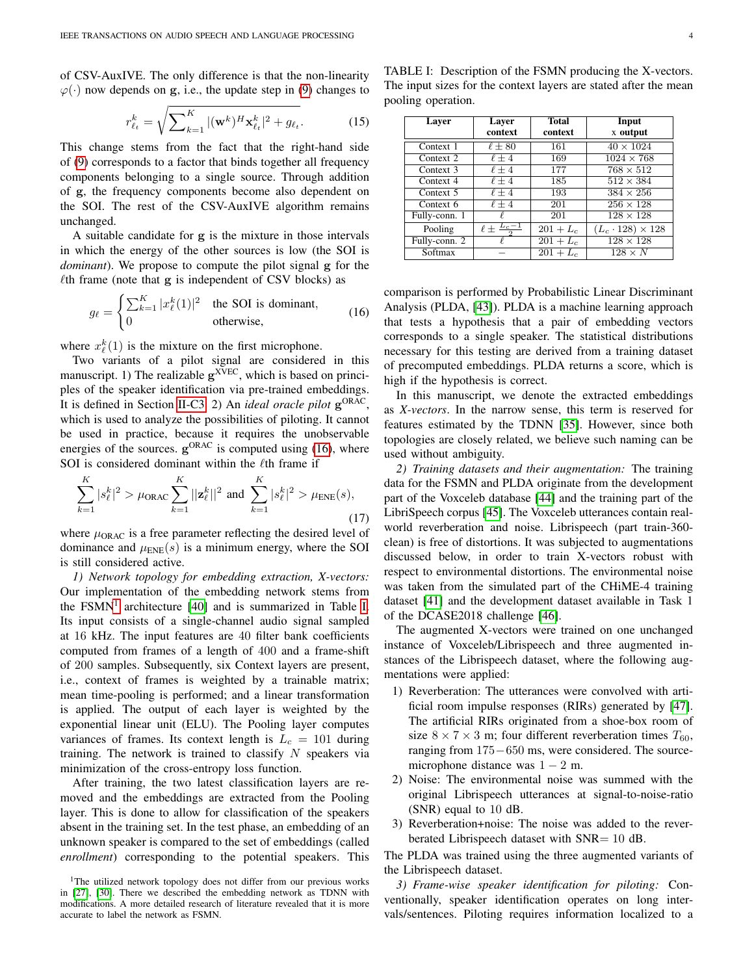of CSV-AuxIVE. The only difference is that the non-linearity  $\varphi(\cdot)$  now depends on g, i.e., the update step in [\(9\)](#page-2-6) changes to

$$
r_{\ell_t}^k = \sqrt{\sum_{k=1}^K |(\mathbf{w}^k)^H \mathbf{x}_{\ell_t}^k|^2 + g_{\ell_t}}.
$$
 (15)

This change stems from the fact that the right-hand side of [\(9\)](#page-2-6) corresponds to a factor that binds together all frequency components belonging to a single source. Through addition of g, the frequency components become also dependent on the SOI. The rest of the CSV-AuxIVE algorithm remains unchanged.

A suitable candidate for g is the mixture in those intervals in which the energy of the other sources is low (the SOI is *dominant*). We propose to compute the pilot signal g for the  $\ell$ th frame (note that g is independent of CSV blocks) as

<span id="page-3-1"></span>
$$
g_{\ell} = \begin{cases} \sum_{k=1}^{K} |x_{\ell}^{k}(1)|^{2} & \text{the SOI is dominant,} \\ 0 & \text{otherwise,} \end{cases}
$$
 (16)

where  $x_{\ell}^{k}(1)$  is the mixture on the first microphone.

Two variants of a pilot signal are considered in this manuscript. 1) The realizable  $g^{XVEC}$ , which is based on principles of the speaker identification via pre-trained embeddings. It is defined in Section [II-C3.](#page-3-0) 2) An *ideal oracle pilot* g ORAC , which is used to analyze the possibilities of piloting. It cannot be used in practice, because it requires the unobservable energies of the sources.  $g^{ORAC}$  is computed using [\(16\)](#page-3-1), where SOI is considered dominant within the  $\ell$ th frame if

$$
\sum_{k=1}^{K} |s_{\ell}^{k}|^{2} > \mu_{\text{ORAC}} \sum_{k=1}^{K} ||\mathbf{z}_{\ell}^{k}||^{2} \text{ and } \sum_{k=1}^{K} |s_{\ell}^{k}|^{2} > \mu_{\text{ENE}}(s),\tag{17}
$$

where  $\mu_{\text{ORAC}}$  is a free parameter reflecting the desired level of dominance and  $\mu_{ENE}(s)$  is a minimum energy, where the SOI is still considered active.

*1) Network topology for embedding extraction, X-vectors:* Our implementation of the embedding network stems from the  $FSMN<sup>1</sup>$  $FSMN<sup>1</sup>$  $FSMN<sup>1</sup>$  architecture [\[40\]](#page-11-21) and is summarized in Table [I.](#page-3-3) Its input consists of a single-channel audio signal sampled at 16 kHz. The input features are 40 filter bank coefficients computed from frames of a length of 400 and a frame-shift of 200 samples. Subsequently, six Context layers are present, i.e., context of frames is weighted by a trainable matrix; mean time-pooling is performed; and a linear transformation is applied. The output of each layer is weighted by the exponential linear unit (ELU). The Pooling layer computes variances of frames. Its context length is  $L_c = 101$  during training. The network is trained to classify  $N$  speakers via minimization of the cross-entropy loss function.

After training, the two latest classification layers are removed and the embeddings are extracted from the Pooling layer. This is done to allow for classification of the speakers absent in the training set. In the test phase, an embedding of an unknown speaker is compared to the set of embeddings (called *enrollment*) corresponding to the potential speakers. This

<span id="page-3-3"></span>TABLE I: Description of the FSMN producing the X-vectors. The input sizes for the context layers are stated after the mean pooling operation.

| Layer         | Layer                      | <b>Total</b> | Input                        |
|---------------|----------------------------|--------------|------------------------------|
|               | context                    | context      | x output                     |
| Context 1     | $\ell \pm 80$              | 161          | $40 \times 1024$             |
| Context 2     | $\ell \pm 4$               | 169          | $1024 \times 768$            |
| Context 3     | $\ell \pm 4$               | 177          | $768 \times 512$             |
| Context 4     | $\ell \pm 4$               | 185          | $512 \times 384$             |
| Context 5     | $\ell \pm 4$               | 193          | $384 \times 256$             |
| Context 6     | $\ell \pm 4$               | 201          | $256 \times 128$             |
| Fully-conn. 1 | ł.                         | 201          | $128 \times 128$             |
| Pooling       | $\ell \pm \frac{L_c-1}{2}$ | $201 + L_c$  | $(L_c \cdot 128) \times 128$ |
| Fully-conn. 2 |                            | $201 + L_c$  | $128 \times 128$             |
| Softmax       |                            | $201 + L_c$  | $128 \times N$               |

comparison is performed by Probabilistic Linear Discriminant Analysis (PLDA, [\[43\]](#page-11-25)). PLDA is a machine learning approach that tests a hypothesis that a pair of embedding vectors corresponds to a single speaker. The statistical distributions necessary for this testing are derived from a training dataset of precomputed embeddings. PLDA returns a score, which is high if the hypothesis is correct.

In this manuscript, we denote the extracted embeddings as *X-vectors*. In the narrow sense, this term is reserved for features estimated by the TDNN [\[35\]](#page-11-16). However, since both topologies are closely related, we believe such naming can be used without ambiguity.

*2) Training datasets and their augmentation:* The training data for the FSMN and PLDA originate from the development part of the Voxceleb database [\[44\]](#page-11-26) and the training part of the LibriSpeech corpus [\[45\]](#page-11-27). The Voxceleb utterances contain realworld reverberation and noise. Librispeech (part train-360 clean) is free of distortions. It was subjected to augmentations discussed below, in order to train X-vectors robust with respect to environmental distortions. The environmental noise was taken from the simulated part of the CHiME-4 training dataset [\[41\]](#page-11-22) and the development dataset available in Task 1 of the DCASE2018 challenge [\[46\]](#page-11-28).

The augmented X-vectors were trained on one unchanged instance of Voxceleb/Librispeech and three augmented instances of the Librispeech dataset, where the following augmentations were applied:

- 1) Reverberation: The utterances were convolved with artificial room impulse responses (RIRs) generated by [\[47\]](#page-11-29). The artificial RIRs originated from a shoe-box room of size  $8 \times 7 \times 3$  m; four different reverberation times  $T_{60}$ , ranging from 175−650 ms, were considered. The sourcemicrophone distance was  $1 - 2$  m.
- 2) Noise: The environmental noise was summed with the original Librispeech utterances at signal-to-noise-ratio (SNR) equal to 10 dB.
- 3) Reverberation+noise: The noise was added to the reverberated Librispeech dataset with SNR= 10 dB.

The PLDA was trained using the three augmented variants of the Librispeech dataset.

<span id="page-3-0"></span>*3) Frame-wise speaker identification for piloting:* Conventionally, speaker identification operates on long intervals/sentences. Piloting requires information localized to a

<span id="page-3-2"></span><sup>&</sup>lt;sup>1</sup>The utilized network topology does not differ from our previous works in [\[27\]](#page-11-8), [\[30\]](#page-11-11). There we described the embedding network as TDNN with modifications. A more detailed research of literature revealed that it is more accurate to label the network as FSMN.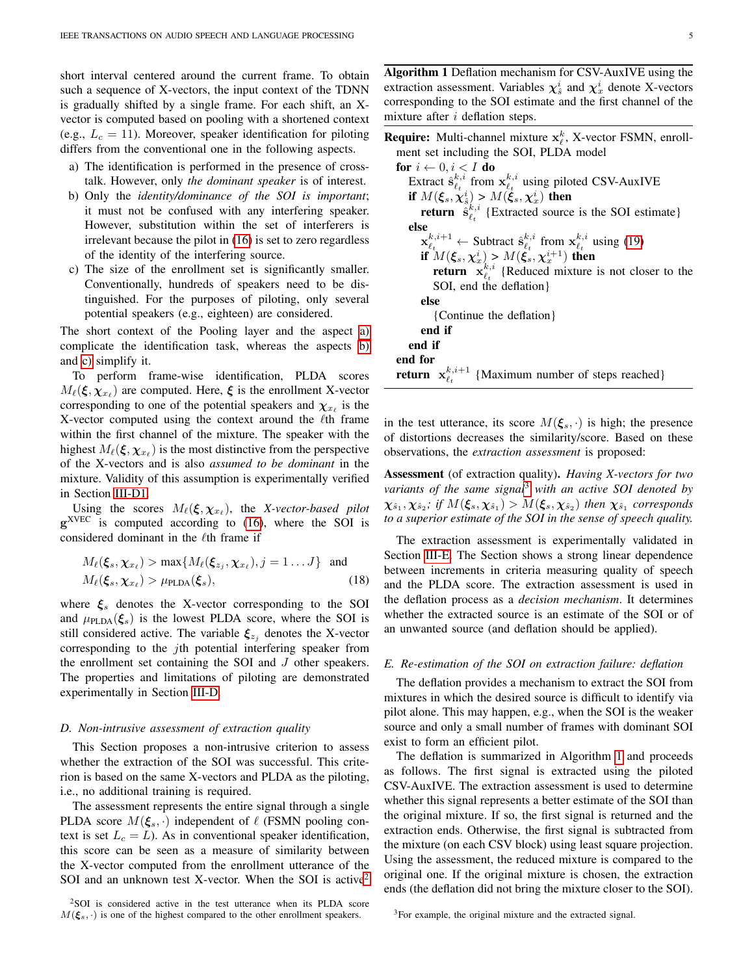short interval centered around the current frame. To obtain such a sequence of X-vectors, the input context of the TDNN is gradually shifted by a single frame. For each shift, an Xvector is computed based on pooling with a shortened context (e.g.,  $L_c = 11$ ). Moreover, speaker identification for piloting differs from the conventional one in the following aspects.

- <span id="page-4-2"></span>a) The identification is performed in the presence of crosstalk. However, only *the dominant speaker* is of interest.
- <span id="page-4-3"></span>b) Only the *identity/dominance of the SOI is important*; it must not be confused with any interfering speaker. However, substitution within the set of interferers is irrelevant because the pilot in [\(16\)](#page-3-1) is set to zero regardless of the identity of the interfering source.
- <span id="page-4-4"></span>c) The size of the enrollment set is significantly smaller. Conventionally, hundreds of speakers need to be distinguished. For the purposes of piloting, only several potential speakers (e.g., eighteen) are considered.

The short context of the Pooling layer and the aspect [a\)](#page-4-2) complicate the identification task, whereas the aspects [b\)](#page-4-3) and [c\)](#page-4-4) simplify it.

To perform frame-wise identification, PLDA scores  $M_{\ell}(\xi, \chi_{x_{\ell}})$  are computed. Here,  $\xi$  is the enrollment X-vector corresponding to one of the potential speakers and  $\chi_{x_\ell}$  is the X-vector computed using the context around the  $\ell$ th frame within the first channel of the mixture. The speaker with the highest  $M_\ell(\xi, \chi_{x_\ell})$  is the most distinctive from the perspective of the X-vectors and is also *assumed to be dominant* in the mixture. Validity of this assumption is experimentally verified in Section [III-D1.](#page-6-0)

Using the scores  $M_\ell(\xi, \chi_{x_\ell})$ , the *X-vector-based pilot*  $g^{XVEC}$  is computed according to [\(16\)](#page-3-1), where the SOI is considered dominant in the  $\ell$ th frame if

$$
M_{\ell}(\xi_s, \chi_{x_{\ell}}) > \max\{M_{\ell}(\xi_{z_j}, \chi_{x_{\ell}}), j = 1...J\} \text{ and}
$$
  

$$
M_{\ell}(\xi_s, \chi_{x_{\ell}}) > \mu_{\text{PLDA}}(\xi_s),
$$
 (18)

where  $\mathcal{E}_s$  denotes the X-vector corresponding to the SOI and  $\mu_{\text{PLDA}}(\xi_s)$  is the lowest PLDA score, where the SOI is still considered active. The variable  $\xi_{z_i}$  denotes the X-vector corresponding to the jth potential interfering speaker from the enrollment set containing the SOI and J other speakers. The properties and limitations of piloting are demonstrated experimentally in Section [III-D.](#page-6-1)

#### <span id="page-4-0"></span>*D. Non-intrusive assessment of extraction quality*

This Section proposes a non-intrusive criterion to assess whether the extraction of the SOI was successful. This criterion is based on the same X-vectors and PLDA as the piloting, i.e., no additional training is required.

The assessment represents the entire signal through a single PLDA score  $M(\xi_s, \cdot)$  independent of  $\ell$  (FSMN pooling context is set  $L_c = L$ ). As in conventional speaker identification, this score can be seen as a measure of similarity between the X-vector computed from the enrollment utterance of the SOI and an unknown test X-vector. When the SOI is active<sup>[2](#page-4-5)</sup>

<span id="page-4-5"></span><sup>2</sup>SOI is considered active in the test utterance when its PLDA score  $M(\xi_s, \cdot)$  is one of the highest compared to the other enrollment speakers.

<span id="page-4-7"></span>Algorithm 1 Deflation mechanism for CSV-AuxIVE using the extraction assessment. Variables  $\chi^i_\hat{s}$  and  $\chi^i_x$  denote X-vectors corresponding to the SOI estimate and the first channel of the mixture after  $i$  deflation steps.

| <b>Require:</b> Multi-channel mixture $x_{\ell}^{k}$ , X-vector FSMN, enroll-                                                       |
|-------------------------------------------------------------------------------------------------------------------------------------|
| ment set including the SOI, PLDA model                                                                                              |
| for $i \leftarrow 0, i < I$ do                                                                                                      |
| Extract $\hat{\mathbf{s}}_l^{k,i}$ from $\mathbf{x}_l^{k,i}$ using piloted CSV-AuxIVE                                               |
|                                                                                                                                     |
| if $M(\xi_s, \chi_s^i) > M(\xi_s, \chi_x^i)$ then<br>return $\hat{\mathbf{s}}_k^{k,i}$ {Extracted source is the SOI estimate}       |
| else                                                                                                                                |
| $\mathbf{x}_{\ell_t}^{k,i+1} \leftarrow$ Subtract $\hat{\mathbf{s}}_{\ell_t}^{k,i}$ from $\mathbf{x}_{\ell_t}^{k,i}$ using (19)     |
|                                                                                                                                     |
| if $M(\xi_s, \chi_x^i) > M(\xi_s^i, \chi_x^{i+1})$ then<br>return $\mathbf{x}_{\ell_t}^{k,i}$ {Reduced mixture is not closer to the |
| SOI, end the deflation                                                                                                              |
| else                                                                                                                                |
| {Continue the deflation}                                                                                                            |
| end if                                                                                                                              |
| end if                                                                                                                              |
| end for                                                                                                                             |
| <b>return</b> $\mathbf{x}_{\ell}^{k,i+1}$ {Maximum number of steps reached}                                                         |

in the test utterance, its score  $M(\xi_s, \cdot)$  is high; the presence of distortions decreases the similarity/score. Based on these observations, the *extraction assessment* is proposed:

Assessment (of extraction quality). *Having X-vectors for two variants of the same signal*[3](#page-4-6) *with an active SOI denoted by*  $\bm{\chi}_{\hat{s}_1},\bm{\chi}_{\hat{s}_2}; \textit{ if } M(\bm{\xi}_s,\bm{\chi}_{\hat{s}_1}) > M(\bm{\xi}_s,\bm{\chi}_{\hat{s}_2}) \textit{ then } \bm{\chi}_{\hat{s}_1} \textit{ corresponds}$ *to a superior estimate of the SOI in the sense of speech quality.*

The extraction assessment is experimentally validated in Section [III-E.](#page-8-0) The Section shows a strong linear dependence between increments in criteria measuring quality of speech and the PLDA score. The extraction assessment is used in the deflation process as a *decision mechanism*. It determines whether the extracted source is an estimate of the SOI or of an unwanted source (and deflation should be applied).

# <span id="page-4-1"></span>*E. Re-estimation of the SOI on extraction failure: deflation*

The deflation provides a mechanism to extract the SOI from mixtures in which the desired source is difficult to identify via pilot alone. This may happen, e.g., when the SOI is the weaker source and only a small number of frames with dominant SOI exist to form an efficient pilot.

The deflation is summarized in Algorithm [1](#page-4-7) and proceeds as follows. The first signal is extracted using the piloted CSV-AuxIVE. The extraction assessment is used to determine whether this signal represents a better estimate of the SOI than the original mixture. If so, the first signal is returned and the extraction ends. Otherwise, the first signal is subtracted from the mixture (on each CSV block) using least square projection. Using the assessment, the reduced mixture is compared to the original one. If the original mixture is chosen, the extraction ends (the deflation did not bring the mixture closer to the SOI).

<span id="page-4-6"></span><sup>3</sup>For example, the original mixture and the extracted signal.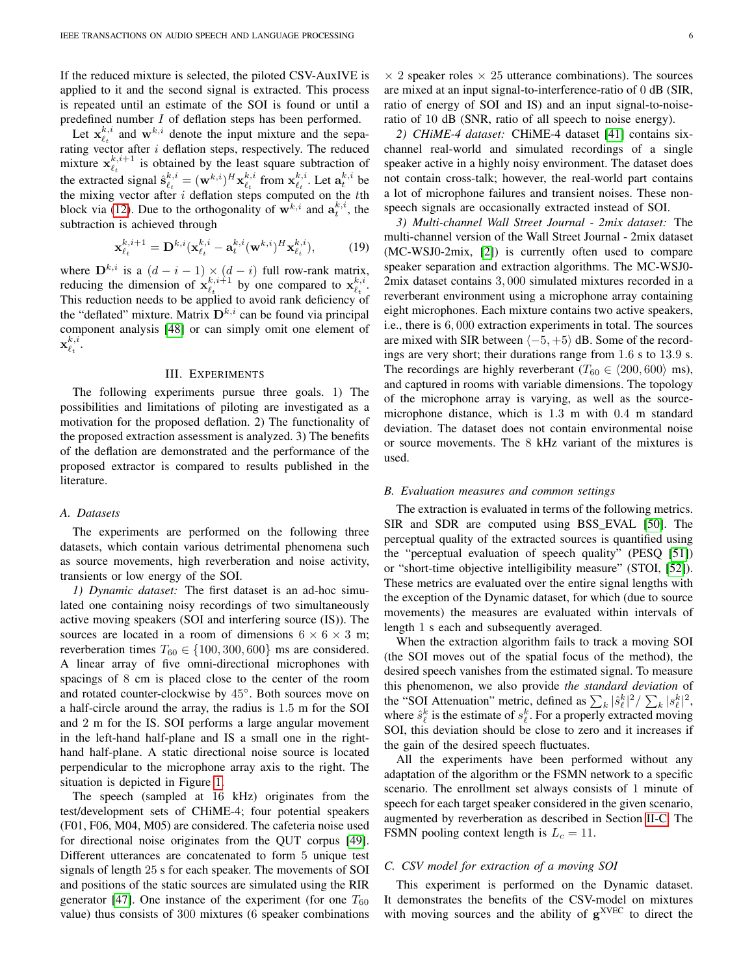If the reduced mixture is selected, the piloted CSV-AuxIVE is applied to it and the second signal is extracted. This process is repeated until an estimate of the SOI is found or until a predefined number I of deflation steps has been performed.

Let  $x_{\ell_t}^{k,i}$  and  $w^{k,i}$  denote the input mixture and the separating vector after  $i$  deflation steps, respectively. The reduced mixture  $x_{\ell_t}^{k,i+1}$  is obtained by the least square subtraction of the extracted signal  $\hat{\mathbf{s}}_{\ell_t}^{k,i} = (\mathbf{w}^{k,i})^H \mathbf{x}_{\ell_t}^{k,i}$  from  $\mathbf{x}_{\ell_t}^{k,i}$ . Let  $\mathbf{a}_t^{k,i}$  be the mixing vector after  $i$  deflation steps computed on the  $t$ th block via [\(12\)](#page-2-5). Due to the orthogonality of  $\mathbf{w}^{k,i}$  and  $\mathbf{a}^{k,i}_t$ , the subtraction is achieved through

<span id="page-5-1"></span>
$$
\mathbf{x}_{\ell_t}^{k,i+1} = \mathbf{D}^{k,i} (\mathbf{x}_{\ell_t}^{k,i} - \mathbf{a}_t^{k,i} (\mathbf{w}^{k,i})^H \mathbf{x}_{\ell_t}^{k,i}),
$$
(19)

where  $\mathbf{D}^{k,i}$  is a  $(d-i-1) \times (d-i)$  full row-rank matrix, reducing the dimension of  $\mathbf{x}_{\ell_t}^{k,i+1}$  by one compared to  $\mathbf{x}_{\ell_t}^{k,i}$ . This reduction needs to be applied to avoid rank deficiency of the "deflated" mixture. Matrix  $\mathbf{D}^{k,i}$  can be found via principal component analysis [\[48\]](#page-11-30) or can simply omit one element of  $\mathbf{x}_{\ell_t}^{k,i}.$ 

## III. EXPERIMENTS

<span id="page-5-0"></span>The following experiments pursue three goals. 1) The possibilities and limitations of piloting are investigated as a motivation for the proposed deflation. 2) The functionality of the proposed extraction assessment is analyzed. 3) The benefits of the deflation are demonstrated and the performance of the proposed extractor is compared to results published in the literature.

#### *A. Datasets*

The experiments are performed on the following three datasets, which contain various detrimental phenomena such as source movements, high reverberation and noise activity, transients or low energy of the SOI.

*1) Dynamic dataset:* The first dataset is an ad-hoc simulated one containing noisy recordings of two simultaneously active moving speakers (SOI and interfering source (IS)). The sources are located in a room of dimensions  $6 \times 6 \times 3$  m; reverberation times  $T_{60} \in \{100, 300, 600\}$  ms are considered. A linear array of five omni-directional microphones with spacings of 8 cm is placed close to the center of the room and rotated counter-clockwise by 45◦ . Both sources move on a half-circle around the array, the radius is 1.5 m for the SOI and 2 m for the IS. SOI performs a large angular movement in the left-hand half-plane and IS a small one in the righthand half-plane. A static directional noise source is located perpendicular to the microphone array axis to the right. The situation is depicted in Figure [1.](#page-7-0)

The speech (sampled at 16 kHz) originates from the test/development sets of CHiME-4; four potential speakers (F01, F06, M04, M05) are considered. The cafeteria noise used for directional noise originates from the QUT corpus [\[49\]](#page-11-31). Different utterances are concatenated to form 5 unique test signals of length 25 s for each speaker. The movements of SOI and positions of the static sources are simulated using the RIR generator [\[47\]](#page-11-29). One instance of the experiment (for one  $T_{60}$ value) thus consists of 300 mixtures (6 speaker combinations

 $\times$  2 speaker roles  $\times$  25 utterance combinations). The sources are mixed at an input signal-to-interference-ratio of 0 dB (SIR, ratio of energy of SOI and IS) and an input signal-to-noiseratio of 10 dB (SNR, ratio of all speech to noise energy).

*2) CHiME-4 dataset:* CHiME-4 dataset [\[41\]](#page-11-22) contains sixchannel real-world and simulated recordings of a single speaker active in a highly noisy environment. The dataset does not contain cross-talk; however, the real-world part contains a lot of microphone failures and transient noises. These nonspeech signals are occasionally extracted instead of SOI.

*3) Multi-channel Wall Street Journal - 2mix dataset:* The multi-channel version of the Wall Street Journal - 2mix dataset (MC-WSJ0-2mix, [\[2\]](#page-10-12)) is currently often used to compare speaker separation and extraction algorithms. The MC-WSJ0- 2mix dataset contains 3, 000 simulated mixtures recorded in a reverberant environment using a microphone array containing eight microphones. Each mixture contains two active speakers, i.e., there is 6, 000 extraction experiments in total. The sources are mixed with SIR between  $\langle -5, +5 \rangle$  dB. Some of the recordings are very short; their durations range from 1.6 s to 13.9 s. The recordings are highly reverberant ( $T_{60} \in \langle 200, 600 \rangle$  ms), and captured in rooms with variable dimensions. The topology of the microphone array is varying, as well as the sourcemicrophone distance, which is 1.3 m with 0.4 m standard deviation. The dataset does not contain environmental noise or source movements. The 8 kHz variant of the mixtures is used.

## *B. Evaluation measures and common settings*

The extraction is evaluated in terms of the following metrics. SIR and SDR are computed using BSS\_EVAL [\[50\]](#page-11-32). The perceptual quality of the extracted sources is quantified using the "perceptual evaluation of speech quality" (PESQ [\[51\]](#page-11-33)) or "short-time objective intelligibility measure" (STOI, [\[52\]](#page-11-34)). These metrics are evaluated over the entire signal lengths with the exception of the Dynamic dataset, for which (due to source movements) the measures are evaluated within intervals of length 1 s each and subsequently averaged.

When the extraction algorithm fails to track a moving SOI (the SOI moves out of the spatial focus of the method), the desired speech vanishes from the estimated signal. To measure this phenomenon, we also provide *the standard deviation* of the "SOI Attenuation" metric, defined as  $\sum_{k} |\hat{s}_{\ell}^{k}|^{2} / \sum_{k} |s_{\ell}^{k}|^{2}$ , where  $\hat{s}_{\ell}^{k}$  is the estimate of  $s_{\ell}^{k}$ . For a properly extracted moving SOI, this deviation should be close to zero and it increases if the gain of the desired speech fluctuates.

All the experiments have been performed without any adaptation of the algorithm or the FSMN network to a specific scenario. The enrollment set always consists of 1 minute of speech for each target speaker considered in the given scenario, augmented by reverberation as described in Section [II-C.](#page-2-1) The FSMN pooling context length is  $L_c = 11$ .

# *C. CSV model for extraction of a moving SOI*

This experiment is performed on the Dynamic dataset. It demonstrates the benefits of the CSV-model on mixtures with moving sources and the ability of  $g^{XVEC}$  to direct the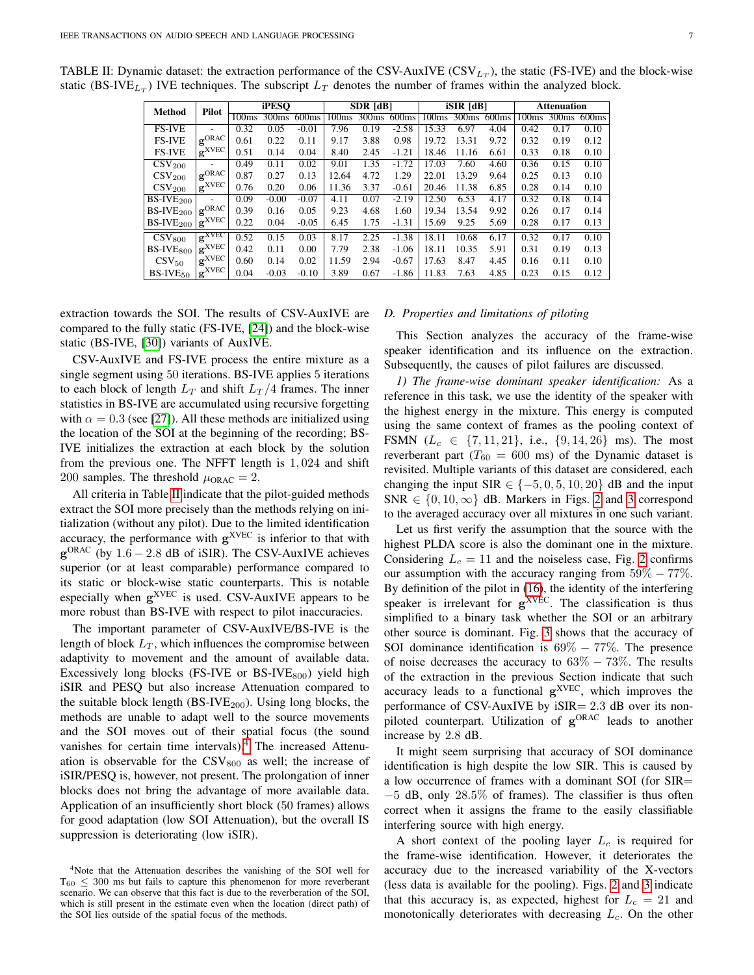| Method                               | Pilot                      | <b>iPESO</b> |                   |         | <b>SDR</b> [dB]   |                            | $iSIR$ $[dB]$ |       |                   | <b>Attenuation</b> |       |                   |                   |
|--------------------------------------|----------------------------|--------------|-------------------|---------|-------------------|----------------------------|---------------|-------|-------------------|--------------------|-------|-------------------|-------------------|
|                                      |                            | 100ms        | 300 <sub>ms</sub> | 600ms   | 100 <sub>ms</sub> | $\overline{300}$ ms 600 ms |               |       | 100ms 300ms 600ms |                    | 100ms | 300 <sub>ms</sub> | 600 <sub>ms</sub> |
| <b>FS-IVE</b>                        |                            | 0.32         | 0.05              | $-0.01$ | 7.96              | 0.19                       | $-2.58$       | 15.33 | 6.97              | 4.04               | 0.42  | 0.17              | 0.10              |
| <b>FS-IVE</b>                        | $\mathbf{g}^{\text{ORAC}}$ | 0.61         | 0.22              | 0.11    | 9.17              | 3.88                       | 0.98          | 19.72 | 13.31             | 9.72               | 0.32  | 0.19              | 0.12              |
| <b>FS-IVE</b>                        | $\mathbf{g}^{\text{XVEC}}$ | 0.51         | 0.14              | 0.04    | 8.40              | 2.45                       | $-1.21$       | 18.46 | 11.16             | 6.61               | 0.33  | 0.18              | 0.10              |
| $\overline{\text{C}}\text{SV}_{200}$ |                            | 0.49         | 0.11              | 0.02    | 9.01              | 1.35                       | $-1.72$       | 17.03 | 7.60              | 4.60               | 0.36  | 0.15              | 0.10              |
| $\mathrm{CSV}_{200}$                 | $g^{ORAC}$                 | 0.87         | 0.27              | 0.13    | 12.64             | 4.72                       | 1.29          | 22.01 | 13.29             | 9.64               | 0.25  | 0.13              | 0.10              |
| $\rm{CSV_{200}}$                     | $\mathbf{g}^{\text{XVEC}}$ | 0.76         | 0.20              | 0.06    | 11.36             | 3.37                       | $-0.61$       | 20.46 | 11.38             | 6.85               | 0.28  | 0.14              | 0.10              |
| $\overline{\text{BS-IVE}}_{200}$     |                            | 0.09         | $-0.00$           | $-0.07$ | 4.11              | 0.07                       | $-2.19$       | 12.50 | 6.53              | 4.17               | 0.32  | 0.18              | 0.14              |
| $BS-IVE200$                          | $g^{ORAC}$                 | 0.39         | 0.16              | 0.05    | 9.23              | 4.68                       | 1.60          | 19.34 | 13.54             | 9.92               | 0.26  | 0.17              | 0.14              |
| $BS-IVE200$                          | $\mathbf{g}^{\text{XVEC}}$ | 0.22         | 0.04              | $-0.05$ | 6.45              | 1.75                       | $-1.31$       | 15.69 | 9.25              | 5.69               | 0.28  | 0.17              | 0.13              |
| $\mathrm{CSV}_{800}$                 | $\mathbf{g}^{\text{XVEC}}$ | 0.52         | 0.15              | 0.03    | 8.17              | 2.25                       | $-1.38$       | 18.11 | 10.68             | 6.17               | 0.32  | 0.17              | 0.10              |
| $BS-IVE800$                          | $\mathbf{g}^{\text{XVEC}}$ | 0.42         | 0.11              | 0.00    | 7.79              | 2.38                       | $-1.06$       | 18.11 | 10.35             | 5.91               | 0.31  | 0.19              | 0.13              |
| $\rm{CSV_{50}}$                      | $\mathbf{g}^{\text{XVEC}}$ | 0.60         | 0.14              | 0.02    | 11.59             | 2.94                       | $-0.67$       | 17.63 | 8.47              | 4.45               | 0.16  | 0.11              | 0.10              |
| $BS-IVE50$                           | $\mathbf{g}^{\text{XVEC}}$ | 0.04         | $-0.03$           | $-0.10$ | 3.89              | 0.67                       | $-1.86$       | 11.83 | 7.63              | 4.85               | 0.23  | 0.15              | 0.12              |

<span id="page-6-2"></span>TABLE II: Dynamic dataset: the extraction performance of the CSV-AuxIVE (CSV $_{L_T}$ ), the static (FS-IVE) and the block-wise static (BS-IVE<sub>LT</sub>) IVE techniques. The subscript  $L_T$  denotes the number of frames within the analyzed block.

extraction towards the SOI. The results of CSV-AuxIVE are compared to the fully static (FS-IVE, [\[24\]](#page-11-23)) and the block-wise static (BS-IVE, [\[30\]](#page-11-11)) variants of AuxIVE.

CSV-AuxIVE and FS-IVE process the entire mixture as a single segment using 50 iterations. BS-IVE applies 5 iterations to each block of length  $L_T$  and shift  $L_T/4$  frames. The inner statistics in BS-IVE are accumulated using recursive forgetting with  $\alpha = 0.3$  (see [\[27\]](#page-11-8)). All these methods are initialized using the location of the SOI at the beginning of the recording; BS-IVE initializes the extraction at each block by the solution from the previous one. The NFFT length is 1, 024 and shift 200 samples. The threshold  $\mu_{ORAC} = 2$ .

All criteria in Table [II](#page-6-2) indicate that the pilot-guided methods extract the SOI more precisely than the methods relying on initialization (without any pilot). Due to the limited identification accuracy, the performance with  $g^{XVEC}$  is inferior to that with  $\mathbf{g}^{\text{ORAC}}$  (by 1.6 – 2.8 dB of iSIR). The CSV-AuxIVE achieves superior (or at least comparable) performance compared to its static or block-wise static counterparts. This is notable especially when  $g^{XVEC}$  is used. CSV-AuxIVE appears to be more robust than BS-IVE with respect to pilot inaccuracies.

The important parameter of CSV-AuxIVE/BS-IVE is the length of block  $L_T$ , which influences the compromise between adaptivity to movement and the amount of available data. Excessively long blocks (FS-IVE or BS-IVE $_{800}$ ) yield high iSIR and PESQ but also increase Attenuation compared to the suitable block length (BS-IV $E_{200}$ ). Using long blocks, the methods are unable to adapt well to the source movements and the SOI moves out of their spatial focus (the sound vanishes for certain time intervals).<sup>[4](#page-6-3)</sup> The increased Attenuation is observable for the  $\text{CSV}_{800}$  as well; the increase of iSIR/PESQ is, however, not present. The prolongation of inner blocks does not bring the advantage of more available data. Application of an insufficiently short block (50 frames) allows for good adaptation (low SOI Attenuation), but the overall IS suppression is deteriorating (low iSIR).

#### <span id="page-6-1"></span>*D. Properties and limitations of piloting*

This Section analyzes the accuracy of the frame-wise speaker identification and its influence on the extraction. Subsequently, the causes of pilot failures are discussed.

<span id="page-6-0"></span>*1) The frame-wise dominant speaker identification:* As a reference in this task, we use the identity of the speaker with the highest energy in the mixture. This energy is computed using the same context of frames as the pooling context of FSMN  $(L_c \in \{7, 11, 21\}, \text{ i.e., } \{9, 14, 26\} \text{ ms})$ . The most reverberant part ( $T_{60} = 600$  ms) of the Dynamic dataset is revisited. Multiple variants of this dataset are considered, each changing the input SIR  $\in \{-5, 0, 5, 10, 20\}$  dB and the input SNR  $\in \{0, 10, \infty\}$  dB. Markers in Figs. [2](#page-7-0) and [3](#page-7-0) correspond to the averaged accuracy over all mixtures in one such variant.

Let us first verify the assumption that the source with the highest PLDA score is also the dominant one in the mixture. Considering  $L_c = 11$  and the noiseless case, Fig. [2](#page-7-0) confirms our assumption with the accuracy ranging from  $59\% - 77\%$ . By definition of the pilot in [\(16\)](#page-3-1), the identity of the interfering speaker is irrelevant for g<sup>XVEC</sup>. The classification is thus simplified to a binary task whether the SOI or an arbitrary other source is dominant. Fig. [3](#page-7-0) shows that the accuracy of SOI dominance identification is 69% − 77%. The presence of noise decreases the accuracy to  $63\% - 73\%$ . The results of the extraction in the previous Section indicate that such accuracy leads to a functional g<sup>XVEC</sup>, which improves the performance of CSV-AuxIVE by iSIR= 2.3 dB over its nonpiloted counterpart. Utilization of g<sup>ORAC</sup> leads to another increase by 2.8 dB.

It might seem surprising that accuracy of SOI dominance identification is high despite the low SIR. This is caused by a low occurrence of frames with a dominant SOI (for SIR= −5 dB, only 28.5% of frames). The classifier is thus often correct when it assigns the frame to the easily classifiable interfering source with high energy.

A short context of the pooling layer  $L_c$  is required for the frame-wise identification. However, it deteriorates the accuracy due to the increased variability of the X-vectors (less data is available for the pooling). Figs. [2](#page-7-0) and [3](#page-7-0) indicate that this accuracy is, as expected, highest for  $L_c = 21$  and monotonically deteriorates with decreasing  $L_c$ . On the other

<span id="page-6-3"></span><sup>4</sup>Note that the Attenuation describes the vanishing of the SOI well for  $T_{60} \leq 300$  ms but fails to capture this phenomenon for more reverberant scenario. We can observe that this fact is due to the reverberation of the SOI, which is still present in the estimate even when the location (direct path) of the SOI lies outside of the spatial focus of the methods.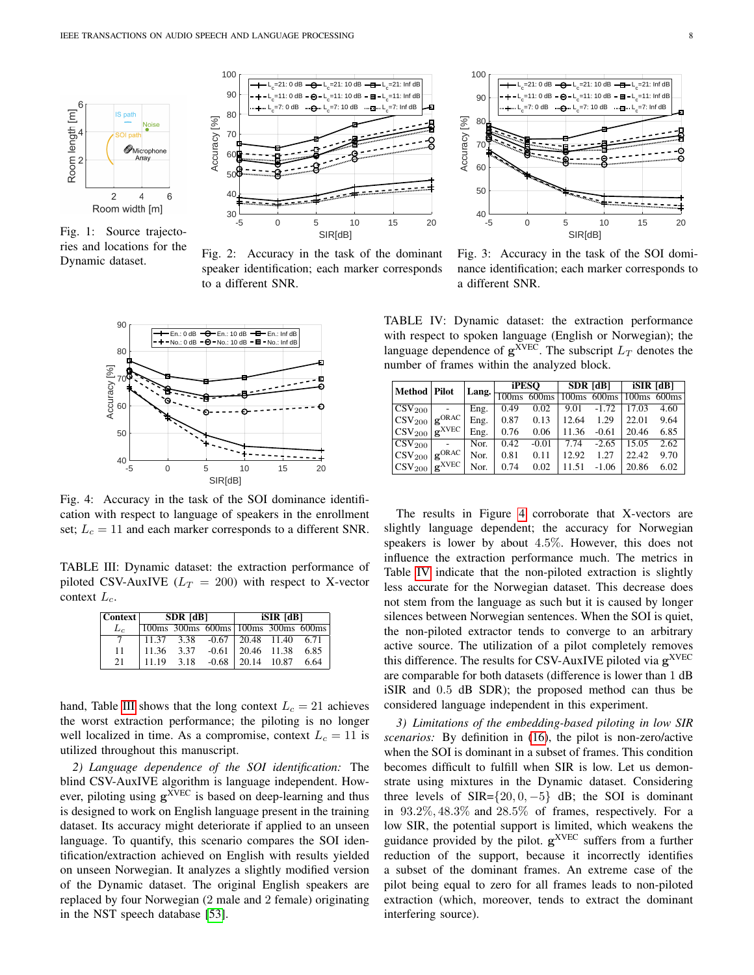<span id="page-7-0"></span>

Fig. 1: Source trajectories and locations for the Dynamic dataset.



Fig. 2: Accuracy in the task of the dominant speaker identification; each marker corresponds to a different SNR.

<span id="page-7-2"></span>

Fig. 4: Accuracy in the task of the SOI dominance identification with respect to language of speakers in the enrollment set;  $L_c = 11$  and each marker corresponds to a different SNR.

<span id="page-7-1"></span>TABLE III: Dynamic dataset: the extraction performance of piloted CSV-AuxIVE  $(L_T = 200)$  with respect to X-vector context  $L_c$ .

| Context |       | <b>SDR</b> [dB] |                                             | <b>iSIR</b> [dB] |                  |      |  |  |
|---------|-------|-----------------|---------------------------------------------|------------------|------------------|------|--|--|
| L.      |       |                 | 100ms 300ms 600ms 100ms 300ms 600ms         |                  |                  |      |  |  |
|         |       |                 | $11.37$ $3.38$ $-0.67$ $20.48$ $11.40$ 6.71 |                  |                  |      |  |  |
| 11      |       | 11.36 3.37      | $-0.61$                                     |                  | 20.46 11.38 6.85 |      |  |  |
| 21      | 11.19 | 3.18            | $-0.68$                                     |                  | 20.14 10.87      | 6.64 |  |  |

hand, Table [III](#page-7-1) shows that the long context  $L_c = 21$  achieves the worst extraction performance; the piloting is no longer well localized in time. As a compromise, context  $L_c = 11$  is utilized throughout this manuscript.

*2) Language dependence of the SOI identification:* The blind CSV-AuxIVE algorithm is language independent. However, piloting using  $g^{XVEC}$  is based on deep-learning and thus is designed to work on English language present in the training dataset. Its accuracy might deteriorate if applied to an unseen language. To quantify, this scenario compares the SOI identification/extraction achieved on English with results yielded on unseen Norwegian. It analyzes a slightly modified version of the Dynamic dataset. The original English speakers are replaced by four Norwegian (2 male and 2 female) originating in the NST speech database [\[53\]](#page-11-35).



Fig. 3: Accuracy in the task of the SOI dominance identification; each marker corresponds to a different SNR.

<span id="page-7-3"></span>TABLE IV: Dynamic dataset: the extraction performance with respect to spoken language (English or Norwegian); the language dependence of  $g^{XVEC}$ . The subscript  $L_T$  denotes the number of frames within the analyzed block.

| Method   Pilot                |                              | Lang. | iPESO             |                   |       | <b>SDR</b> [dB]  | <b>iSIR</b> [dB]  |       |  |
|-------------------------------|------------------------------|-------|-------------------|-------------------|-------|------------------|-------------------|-------|--|
|                               |                              |       | 100 <sub>ms</sub> | 600 <sub>ms</sub> |       | $100ms$ 600 $ms$ | 100 <sub>ms</sub> | 600ms |  |
| $\overline{\text{CSV}}_{200}$ |                              | Eng.  | 0.49              | 0.02              | 9.01  | $-1.72$          | 17.03             | 4.60  |  |
| $\vert$ CSV <sub>200</sub>    | $+$ <b>g</b> ORAC +          | Eng.  | 0.87              | 0.13              | 12.64 | 1.29             | 22.01             | 9.64  |  |
| $ CSV_{200} $                 | $\mathbf{g}^{\mathrm{XVEC}}$ | Eng.  | 0.76              | 0.06              | 11.36 | $-0.61$          | 20.46             | 6.85  |  |
| $\overline{\text{CSV}}_{200}$ |                              | Nor.  | 0.42              | $-0.01$           | 7.74  | $-2.65$          | 15.05             | 2.62  |  |
| $\text{CSV}_{200}$            | $\log_{10}$ ORAC             | Nor.  | 0.81              | 0.11              | 12.92 | 1.27             | 22.42             | 9.70  |  |
| $ CSV_{200} $                 | $\mathbf{g}^{\text{XVEC}}$   | Nor.  | 0.74              | 0.02              | 11.51 | $-1.06$          | 20.86             | 6.02  |  |

The results in Figure [4](#page-7-2) corroborate that X-vectors are slightly language dependent; the accuracy for Norwegian speakers is lower by about 4.5%. However, this does not influence the extraction performance much. The metrics in Table [IV](#page-7-3) indicate that the non-piloted extraction is slightly less accurate for the Norwegian dataset. This decrease does not stem from the language as such but it is caused by longer silences between Norwegian sentences. When the SOI is quiet, the non-piloted extractor tends to converge to an arbitrary active source. The utilization of a pilot completely removes this difference. The results for CSV-AuxIVE piloted via  $g^{XVEC}$ are comparable for both datasets (difference is lower than 1 dB iSIR and 0.5 dB SDR); the proposed method can thus be considered language independent in this experiment.

<span id="page-7-4"></span>*3) Limitations of the embedding-based piloting in low SIR scenarios:* By definition in [\(16\)](#page-3-1), the pilot is non-zero/active when the SOI is dominant in a subset of frames. This condition becomes difficult to fulfill when SIR is low. Let us demonstrate using mixtures in the Dynamic dataset. Considering three levels of  $SIR=\{20, 0, -5\}$  dB; the SOI is dominant in 93.2%, 48.3% and 28.5% of frames, respectively. For a low SIR, the potential support is limited, which weakens the guidance provided by the pilot.  $g^{XVEC}$  suffers from a further reduction of the support, because it incorrectly identifies a subset of the dominant frames. An extreme case of the pilot being equal to zero for all frames leads to non-piloted extraction (which, moreover, tends to extract the dominant interfering source).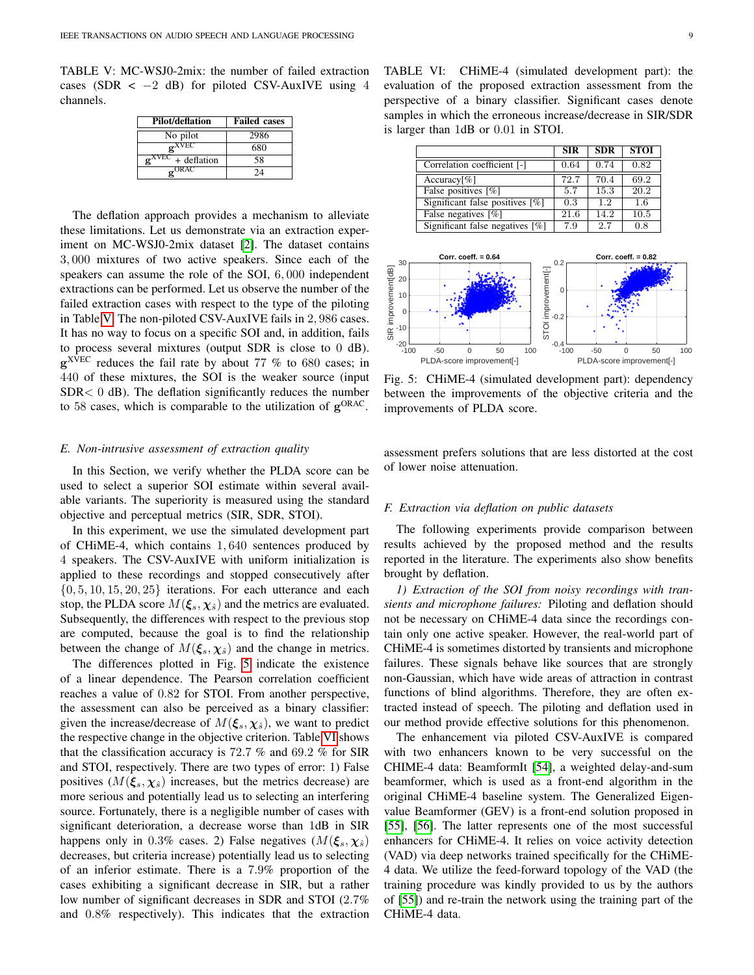<span id="page-8-1"></span>TABLE V: MC-WSJ0-2mix: the number of failed extraction cases (SDR <  $-2$  dB) for piloted CSV-AuxIVE using 4 channels.

| Pilot/deflation                        | <b>Failed cases</b> |
|----------------------------------------|---------------------|
| No pilot                               | 2986                |
| $\alpha$ XVEC                          | 680                 |
| $\mathbf{e}^{\text{XVEC}} +$ deflation | 58                  |
| $_{\text{C}}$ ORAC                     | 24                  |

The deflation approach provides a mechanism to alleviate these limitations. Let us demonstrate via an extraction experiment on MC-WSJ0-2mix dataset [\[2\]](#page-10-12). The dataset contains 3, 000 mixtures of two active speakers. Since each of the speakers can assume the role of the SOI, 6, 000 independent extractions can be performed. Let us observe the number of the failed extraction cases with respect to the type of the piloting in Table [V.](#page-8-1) The non-piloted CSV-AuxIVE fails in 2, 986 cases. It has no way to focus on a specific SOI and, in addition, fails to process several mixtures (output SDR is close to 0 dB).  $g^{XVEC}$  reduces the fail rate by about 77 % to 680 cases; in 440 of these mixtures, the SOI is the weaker source (input SDR< 0 dB). The deflation significantly reduces the number to 58 cases, which is comparable to the utilization of  $g^{ORAC}$ .

## <span id="page-8-0"></span>*E. Non-intrusive assessment of extraction quality*

In this Section, we verify whether the PLDA score can be used to select a superior SOI estimate within several available variants. The superiority is measured using the standard objective and perceptual metrics (SIR, SDR, STOI).

In this experiment, we use the simulated development part of CHiME-4, which contains 1, 640 sentences produced by 4 speakers. The CSV-AuxIVE with uniform initialization is applied to these recordings and stopped consecutively after  $\{0, 5, 10, 15, 20, 25\}$  iterations. For each utterance and each stop, the PLDA score  $M(\xi_s, \chi_{\hat{s}})$  and the metrics are evaluated. Subsequently, the differences with respect to the previous stop are computed, because the goal is to find the relationship between the change of  $M(\xi_s, \chi_{\hat{s}})$  and the change in metrics.

The differences plotted in Fig. [5](#page-8-2) indicate the existence of a linear dependence. The Pearson correlation coefficient reaches a value of 0.82 for STOI. From another perspective, the assessment can also be perceived as a binary classifier: given the increase/decrease of  $M(\xi_s, \chi_{\hat{s}})$ , we want to predict the respective change in the objective criterion. Table [VI](#page-8-3) shows that the classification accuracy is 72.7 % and 69.2 % for SIR and STOI, respectively. There are two types of error: 1) False positives  $(M(\xi_s, \chi_{\hat{s}}))$  increases, but the metrics decrease) are more serious and potentially lead us to selecting an interfering source. Fortunately, there is a negligible number of cases with significant deterioration, a decrease worse than 1dB in SIR happens only in 0.3% cases. 2) False negatives  $(M(\xi_s, \chi_{\hat{s}}))$ decreases, but criteria increase) potentially lead us to selecting of an inferior estimate. There is a 7.9% proportion of the cases exhibiting a significant decrease in SIR, but a rather low number of significant decreases in SDR and STOI (2.7% and 0.8% respectively). This indicates that the extraction

<span id="page-8-3"></span>TABLE VI: CHiME-4 (simulated development part): the evaluation of the proposed extraction assessment from the perspective of a binary classifier. Significant cases denote samples in which the erroneous increase/decrease in SIR/SDR is larger than 1dB or 0.01 in STOI.

|                                    | <b>SIR</b> | <b>SDR</b> | <b>STOI</b> |
|------------------------------------|------------|------------|-------------|
| Correlation coefficient [-]        | 0.64       | 0.74       | 0.82        |
| Accuracy[%]                        | 72.7       | 70.4       | 69.2        |
| False positives $\lceil \% \rceil$ | 5.7        | 15.3       | 20.2        |
| Significant false positives [%]    | 0.3        | 1.2        | 1.6         |
| False negatives $[\%]$             | 21.6       | 14.2       | 10.5        |
| Significant false negatives [%]    | 7.9        | 2.7        | 0.8         |

<span id="page-8-2"></span>

Fig. 5: CHiME-4 (simulated development part): dependency between the improvements of the objective criteria and the improvements of PLDA score.

assessment prefers solutions that are less distorted at the cost of lower noise attenuation.

# *F. Extraction via deflation on public datasets*

The following experiments provide comparison between results achieved by the proposed method and the results reported in the literature. The experiments also show benefits brought by deflation.

*1) Extraction of the SOI from noisy recordings with transients and microphone failures:* Piloting and deflation should not be necessary on CHiME-4 data since the recordings contain only one active speaker. However, the real-world part of CHiME-4 is sometimes distorted by transients and microphone failures. These signals behave like sources that are strongly non-Gaussian, which have wide areas of attraction in contrast functions of blind algorithms. Therefore, they are often extracted instead of speech. The piloting and deflation used in our method provide effective solutions for this phenomenon.

The enhancement via piloted CSV-AuxIVE is compared with two enhancers known to be very successful on the CHIME-4 data: BeamformIt [\[54\]](#page-11-36), a weighted delay-and-sum beamformer, which is used as a front-end algorithm in the original CHiME-4 baseline system. The Generalized Eigenvalue Beamformer (GEV) is a front-end solution proposed in [\[55\]](#page-11-37), [\[56\]](#page-11-38). The latter represents one of the most successful enhancers for CHiME-4. It relies on voice activity detection (VAD) via deep networks trained specifically for the CHiME-4 data. We utilize the feed-forward topology of the VAD (the training procedure was kindly provided to us by the authors of [\[55\]](#page-11-37)) and re-train the network using the training part of the CHiME-4 data.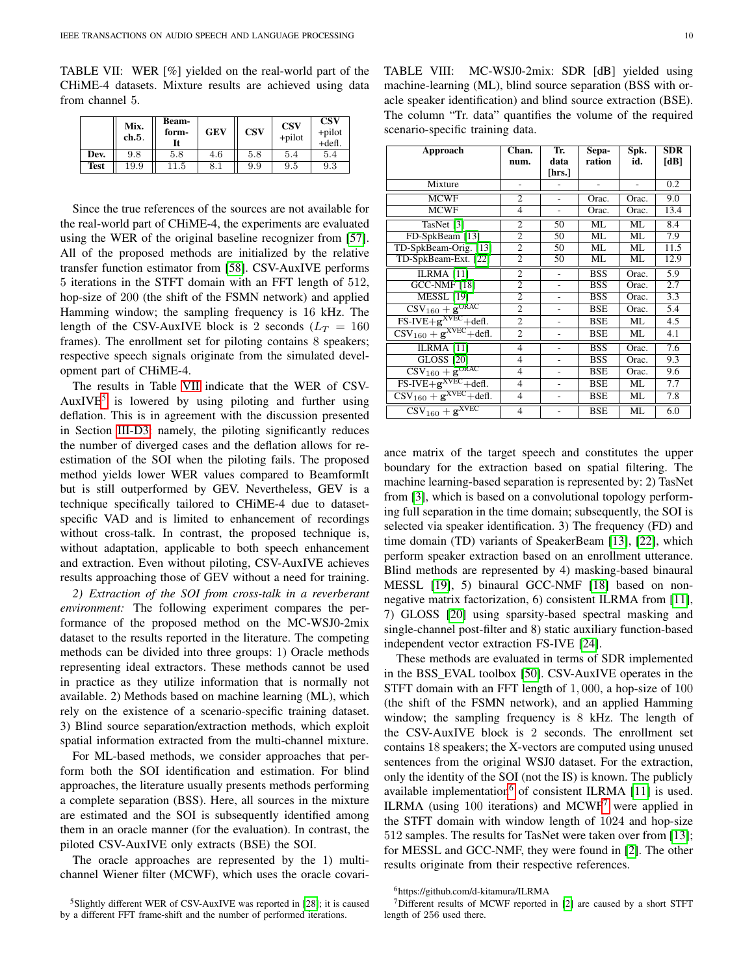<span id="page-9-0"></span>TABLE VII: WER [%] yielded on the real-world part of the CHiME-4 datasets. Mixture results are achieved using data from channel 5.

|             | Mix.<br>ch.5. | <b>Beam-</b><br>form- | <b>GEV</b> | <b>CSV</b> | <b>CSV</b><br>+pilot | <b>CSV</b><br>+pilot<br>$+$ defl. |
|-------------|---------------|-----------------------|------------|------------|----------------------|-----------------------------------|
| Dev.        | 9.8           | 5.8                   | 4.6        | 5.8        | 5.4                  | 5.4                               |
| <b>Test</b> | 19.9          | 11.5                  | $8.1\,$    | 9.9        | 9.5                  | 9.3                               |

Since the true references of the sources are not available for the real-world part of CHiME-4, the experiments are evaluated using the WER of the original baseline recognizer from [\[57\]](#page-11-39). All of the proposed methods are initialized by the relative transfer function estimator from [\[58\]](#page-11-40). CSV-AuxIVE performs 5 iterations in the STFT domain with an FFT length of 512, hop-size of 200 (the shift of the FSMN network) and applied Hamming window; the sampling frequency is 16 kHz. The length of the CSV-AuxIVE block is 2 seconds ( $L_T = 160$ frames). The enrollment set for piloting contains 8 speakers; respective speech signals originate from the simulated development part of CHiME-4.

The results in Table [VII](#page-9-0) indicate that the WER of CSV-AuxIVE<sup>[5](#page-9-1)</sup> is lowered by using piloting and further using deflation. This is in agreement with the discussion presented in Section [III-D3:](#page-7-4) namely, the piloting significantly reduces the number of diverged cases and the deflation allows for reestimation of the SOI when the piloting fails. The proposed method yields lower WER values compared to BeamformIt but is still outperformed by GEV. Nevertheless, GEV is a technique specifically tailored to CHiME-4 due to datasetspecific VAD and is limited to enhancement of recordings without cross-talk. In contrast, the proposed technique is, without adaptation, applicable to both speech enhancement and extraction. Even without piloting, CSV-AuxIVE achieves results approaching those of GEV without a need for training.

*2) Extraction of the SOI from cross-talk in a reverberant environment:* The following experiment compares the performance of the proposed method on the MC-WSJ0-2mix dataset to the results reported in the literature. The competing methods can be divided into three groups: 1) Oracle methods representing ideal extractors. These methods cannot be used in practice as they utilize information that is normally not available. 2) Methods based on machine learning (ML), which rely on the existence of a scenario-specific training dataset. 3) Blind source separation/extraction methods, which exploit spatial information extracted from the multi-channel mixture.

For ML-based methods, we consider approaches that perform both the SOI identification and estimation. For blind approaches, the literature usually presents methods performing a complete separation (BSS). Here, all sources in the mixture are estimated and the SOI is subsequently identified among them in an oracle manner (for the evaluation). In contrast, the piloted CSV-AuxIVE only extracts (BSE) the SOI.

The oracle approaches are represented by the 1) multichannel Wiener filter (MCWF), which uses the oracle covari-

<span id="page-9-4"></span>

| Approach                                                   | Chan.          | Tr.            | Sepa-      | Spk.  | SDR  |
|------------------------------------------------------------|----------------|----------------|------------|-------|------|
|                                                            | num.           | data           | ration     | id.   | [dB] |
|                                                            |                | [hrs.]         |            |       |      |
| Mixture                                                    |                |                |            | ٠     | 0.2  |
| <b>MCWF</b>                                                | $\overline{2}$ | ä,             | Orac.      | Orac. | 9.0  |
| <b>MCWF</b>                                                | 4              | $\overline{a}$ | Orac.      | Orac. | 13.4 |
| TasNet [3]                                                 | $\overline{c}$ | 50             | ML         | ML    | 8.4  |
| FD-SpkBeam [13]                                            | 2              | 50             | ML         | ML    | 7.9  |
| TD-SpkBeam-Orig. [13]                                      | $\overline{2}$ | 50             | ML         | ML    | 11.5 |
| TD-SpkBeam-Ext. [22]                                       | 2              | 50             | ML         | ML    | 12.9 |
| ILRMA <sup>[11]</sup>                                      | $\overline{2}$ |                | <b>BSS</b> | Orac. | 5.9  |
| <b>GCC-NMF [18]</b>                                        | $\overline{2}$ |                | <b>BSS</b> | Orac. | 2.7  |
| <b>MESSL</b> [19]                                          | $\overline{2}$ | -              | <b>BSS</b> | Orac. | 3.3  |
| $\text{CSV}_{160} + \text{g}^{\text{ORAC}}$                | $\overline{c}$ |                | BSE        | Orac. | 5.4  |
| $\overline{\text{FS-IVE+g}}^{\text{XVEC}} + \text{defl.}$  | $\overline{2}$ | $\overline{a}$ | <b>BSE</b> | ML    | 4.5  |
| $\text{CSV}_{160} + \text{g}^{\text{XVEC}} + \text{defl.}$ | $\overline{2}$ |                | <b>BSE</b> | ML    | 4.1  |
| <b>ILRMA</b> [11]                                          | $\overline{4}$ |                | <b>BSS</b> | Orac. | 7.6  |
| <b>GLOSS</b> [20]                                          | 4              |                | <b>BSS</b> | Orac. | 9.3  |
| $\overline{\text{CSV}_{160}+\text{g}^{\text{ORAC}}}$       | $\overline{4}$ | $\overline{a}$ | <b>BSE</b> | Orac. | 9.6  |
| $\overline{FS\text{-}IVE+g}^{\text{XVEC}}+\text{defl.}$    | 4              | $\overline{a}$ | <b>BSE</b> | ML    | 7.7  |
| $\text{CSV}_{160} + \text{g}^{\text{XVEC}} + \text{defl.}$ | $\overline{4}$ |                | <b>BSE</b> | ML    | 7.8  |
| $\overline{\text{CSV}}_{160} + \textbf{g}^{\text{XVEC}}$   | $\overline{4}$ |                | <b>BSE</b> | ML    | 6.0  |

ance matrix of the target speech and constitutes the upper boundary for the extraction based on spatial filtering. The machine learning-based separation is represented by: 2) TasNet from [\[3\]](#page-10-14), which is based on a convolutional topology performing full separation in the time domain; subsequently, the SOI is selected via speaker identification. 3) The frequency (FD) and time domain (TD) variants of SpeakerBeam [\[13\]](#page-10-4), [\[22\]](#page-11-5), which perform speaker extraction based on an enrollment utterance. Blind methods are represented by 4) masking-based binaural MESSL [\[19\]](#page-11-2), 5) binaural GCC-NMF [\[18\]](#page-11-1) based on nonnegative matrix factorization, 6) consistent ILRMA from [\[11\]](#page-10-15), 7) GLOSS [\[20\]](#page-11-3) using sparsity-based spectral masking and single-channel post-filter and 8) static auxiliary function-based independent vector extraction FS-IVE [\[24\]](#page-11-23).

These methods are evaluated in terms of SDR implemented in the BSS\_EVAL toolbox [\[50\]](#page-11-32). CSV-AuxIVE operates in the STFT domain with an FFT length of 1, 000, a hop-size of 100 (the shift of the FSMN network), and an applied Hamming window; the sampling frequency is 8 kHz. The length of the CSV-AuxIVE block is 2 seconds. The enrollment set contains 18 speakers; the X-vectors are computed using unused sentences from the original WSJ0 dataset. For the extraction, only the identity of the SOI (not the IS) is known. The publicly available implementation<sup>[6](#page-9-2)</sup> of consistent ILRMA [\[11\]](#page-10-15) is used. ILRMA (using  $100$  iterations) and MCWF<sup>[7](#page-9-3)</sup> were applied in the STFT domain with window length of 1024 and hop-size 512 samples. The results for TasNet were taken over from [\[13\]](#page-10-4); for MESSL and GCC-NMF, they were found in [\[2\]](#page-10-12). The other results originate from their respective references.

<span id="page-9-1"></span><sup>5</sup>Slightly different WER of CSV-AuxIVE was reported in [\[28\]](#page-11-9); it is caused by a different FFT frame-shift and the number of performed iterations.

<span id="page-9-3"></span><span id="page-9-2"></span><sup>6</sup>https://github.com/d-kitamura/ILRMA

<sup>7</sup>Different results of MCWF reported in [\[2\]](#page-10-12) are caused by a short STFT length of 256 used there.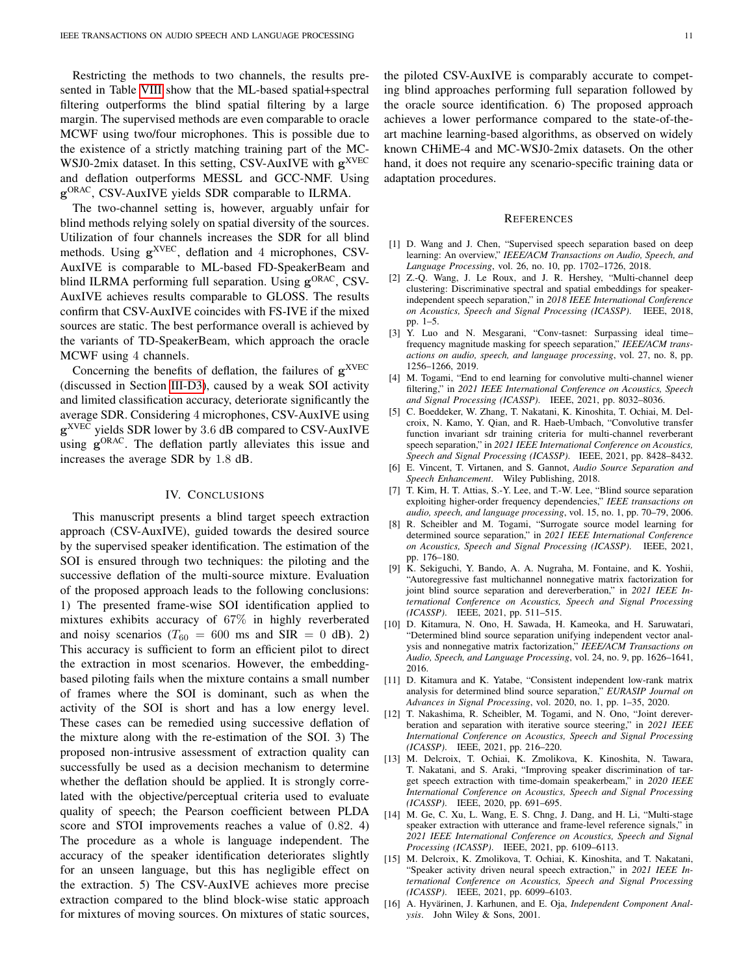Restricting the methods to two channels, the results presented in Table [VIII](#page-9-4) show that the ML-based spatial+spectral filtering outperforms the blind spatial filtering by a large margin. The supervised methods are even comparable to oracle MCWF using two/four microphones. This is possible due to the existence of a strictly matching training part of the MC-WSJ0-2mix dataset. In this setting, CSV-AuxIVE with  $g<sup>XVEC</sup>$ and deflation outperforms MESSL and GCC-NMF. Using g<sup>ORAC</sup>, CSV-AuxIVE yields SDR comparable to ILRMA.

The two-channel setting is, however, arguably unfair for blind methods relying solely on spatial diversity of the sources. Utilization of four channels increases the SDR for all blind methods. Using  $g^{XVEC}$ , deflation and 4 microphones, CSV-AuxIVE is comparable to ML-based FD-SpeakerBeam and blind ILRMA performing full separation. Using  $g^{ORAC}$ , CSV-AuxIVE achieves results comparable to GLOSS. The results confirm that CSV-AuxIVE coincides with FS-IVE if the mixed sources are static. The best performance overall is achieved by the variants of TD-SpeakerBeam, which approach the oracle MCWF using 4 channels.

Concerning the benefits of deflation, the failures of  $g^{XVEC}$ (discussed in Section [III-D3\)](#page-7-4), caused by a weak SOI activity and limited classification accuracy, deteriorate significantly the average SDR. Considering 4 microphones, CSV-AuxIVE using g<sup>XVEC</sup> yields SDR lower by 3.6 dB compared to CSV-AuxIVE using g<sup>ORAC</sup>. The deflation partly alleviates this issue and increases the average SDR by 1.8 dB.

## IV. CONCLUSIONS

<span id="page-10-13"></span>This manuscript presents a blind target speech extraction approach (CSV-AuxIVE), guided towards the desired source by the supervised speaker identification. The estimation of the SOI is ensured through two techniques: the piloting and the successive deflation of the multi-source mixture. Evaluation of the proposed approach leads to the following conclusions: 1) The presented frame-wise SOI identification applied to mixtures exhibits accuracy of 67% in highly reverberated and noisy scenarios ( $T_{60} = 600$  ms and SIR = 0 dB). 2) This accuracy is sufficient to form an efficient pilot to direct the extraction in most scenarios. However, the embeddingbased piloting fails when the mixture contains a small number of frames where the SOI is dominant, such as when the activity of the SOI is short and has a low energy level. These cases can be remedied using successive deflation of the mixture along with the re-estimation of the SOI. 3) The proposed non-intrusive assessment of extraction quality can successfully be used as a decision mechanism to determine whether the deflation should be applied. It is strongly correlated with the objective/perceptual criteria used to evaluate quality of speech; the Pearson coefficient between PLDA score and STOI improvements reaches a value of 0.82. 4) The procedure as a whole is language independent. The accuracy of the speaker identification deteriorates slightly for an unseen language, but this has negligible effect on the extraction. 5) The CSV-AuxIVE achieves more precise extraction compared to the blind block-wise static approach for mixtures of moving sources. On mixtures of static sources, the piloted CSV-AuxIVE is comparably accurate to competing blind approaches performing full separation followed by the oracle source identification. 6) The proposed approach achieves a lower performance compared to the state-of-theart machine learning-based algorithms, as observed on widely known CHiME-4 and MC-WSJ0-2mix datasets. On the other hand, it does not require any scenario-specific training data or adaptation procedures.

## REFERENCES

- <span id="page-10-0"></span>[1] D. Wang and J. Chen, "Supervised speech separation based on deep learning: An overview," *IEEE/ACM Transactions on Audio, Speech, and Language Processing*, vol. 26, no. 10, pp. 1702–1726, 2018.
- <span id="page-10-12"></span>[2] Z.-Q. Wang, J. Le Roux, and J. R. Hershey, "Multi-channel deep clustering: Discriminative spectral and spatial embeddings for speakerindependent speech separation," in *2018 IEEE International Conference on Acoustics, Speech and Signal Processing (ICASSP)*. IEEE, 2018, pp. 1–5.
- <span id="page-10-14"></span>[3] Y. Luo and N. Mesgarani, "Conv-tasnet: Surpassing ideal time– frequency magnitude masking for speech separation," *IEEE/ACM transactions on audio, speech, and language processing*, vol. 27, no. 8, pp. 1256–1266, 2019.
- [4] M. Togami, "End to end learning for convolutive multi-channel wiener filtering," in *2021 IEEE International Conference on Acoustics, Speech and Signal Processing (ICASSP)*. IEEE, 2021, pp. 8032–8036.
- <span id="page-10-1"></span>[5] C. Boeddeker, W. Zhang, T. Nakatani, K. Kinoshita, T. Ochiai, M. Delcroix, N. Kamo, Y. Qian, and R. Haeb-Umbach, "Convolutive transfer function invariant sdr training criteria for multi-channel reverberant speech separation," in *2021 IEEE International Conference on Acoustics, Speech and Signal Processing (ICASSP)*. IEEE, 2021, pp. 8428–8432.
- <span id="page-10-2"></span>[6] E. Vincent, T. Virtanen, and S. Gannot, *Audio Source Separation and Speech Enhancement*. Wiley Publishing, 2018.
- <span id="page-10-7"></span>[7] T. Kim, H. T. Attias, S.-Y. Lee, and T.-W. Lee, "Blind source separation exploiting higher-order frequency dependencies," *IEEE transactions on audio, speech, and language processing*, vol. 15, no. 1, pp. 70–79, 2006.
- <span id="page-10-8"></span>[8] R. Scheibler and M. Togami, "Surrogate source model learning for determined source separation," in *2021 IEEE International Conference on Acoustics, Speech and Signal Processing (ICASSP)*. IEEE, 2021, pp. 176–180.
- <span id="page-10-9"></span>[9] K. Sekiguchi, Y. Bando, A. A. Nugraha, M. Fontaine, and K. Yoshii, "Autoregressive fast multichannel nonnegative matrix factorization for joint blind source separation and dereverberation," in *2021 IEEE International Conference on Acoustics, Speech and Signal Processing (ICASSP)*. IEEE, 2021, pp. 511–515.
- <span id="page-10-10"></span>[10] D. Kitamura, N. Ono, H. Sawada, H. Kameoka, and H. Saruwatari, "Determined blind source separation unifying independent vector analysis and nonnegative matrix factorization," *IEEE/ACM Transactions on Audio, Speech, and Language Processing*, vol. 24, no. 9, pp. 1626–1641, 2016.
- <span id="page-10-15"></span>[11] D. Kitamura and K. Yatabe, "Consistent independent low-rank matrix analysis for determined blind source separation," *EURASIP Journal on Advances in Signal Processing*, vol. 2020, no. 1, pp. 1–35, 2020.
- <span id="page-10-3"></span>[12] T. Nakashima, R. Scheibler, M. Togami, and N. Ono, "Joint dereverberation and separation with iterative source steering," in *2021 IEEE International Conference on Acoustics, Speech and Signal Processing (ICASSP)*. IEEE, 2021, pp. 216–220.
- <span id="page-10-4"></span>[13] M. Delcroix, T. Ochiai, K. Zmolikova, K. Kinoshita, N. Tawara, T. Nakatani, and S. Araki, "Improving speaker discrimination of target speech extraction with time-domain speakerbeam," in *2020 IEEE International Conference on Acoustics, Speech and Signal Processing (ICASSP)*. IEEE, 2020, pp. 691–695.
- <span id="page-10-11"></span>[14] M. Ge, C. Xu, L. Wang, E. S. Chng, J. Dang, and H. Li, "Multi-stage speaker extraction with utterance and frame-level reference signals," in *2021 IEEE International Conference on Acoustics, Speech and Signal Processing (ICASSP)*. IEEE, 2021, pp. 6109–6113.
- <span id="page-10-5"></span>[15] M. Delcroix, K. Zmolikova, T. Ochiai, K. Kinoshita, and T. Nakatani, "Speaker activity driven neural speech extraction," in *2021 IEEE International Conference on Acoustics, Speech and Signal Processing (ICASSP)*. IEEE, 2021, pp. 6099–6103.
- <span id="page-10-6"></span>[16] A. Hyvärinen, J. Karhunen, and E. Oja, *Independent Component Analysis*. John Wiley & Sons, 2001.